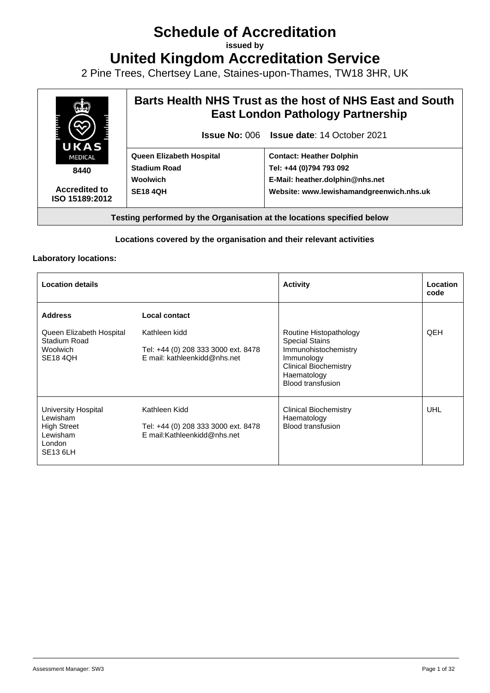# **Schedule of Accreditation**

**issued by**

**United Kingdom Accreditation Service**

2 Pine Trees, Chertsey Lane, Staines-upon-Thames, TW18 3HR, UK



#### **Locations covered by the organisation and their relevant activities**

#### **Laboratory locations:**

| <b>Location details</b>                                                                        |                                                                                      | <b>Activity</b>                                                                                                                                                  | Location<br>code |
|------------------------------------------------------------------------------------------------|--------------------------------------------------------------------------------------|------------------------------------------------------------------------------------------------------------------------------------------------------------------|------------------|
| <b>Address</b>                                                                                 | Local contact                                                                        |                                                                                                                                                                  |                  |
| Queen Elizabeth Hospital<br>Stadium Road<br><b>Woolwich</b><br><b>SE18 4QH</b>                 | Kathleen kidd<br>Tel: +44 (0) 208 333 3000 ext. 8478<br>E mail: kathleenkidd@nhs.net | Routine Histopathology<br><b>Special Stains</b><br>Immunohistochemistry<br>Immunology<br><b>Clinical Biochemistry</b><br>Haematology<br><b>Blood transfusion</b> | QEH              |
| University Hospital<br>Lewisham<br><b>High Street</b><br>Lewisham<br>London<br><b>SE13 6LH</b> | Kathleen Kidd<br>Tel: +44 (0) 208 333 3000 ext. 8478<br>E mail:Kathleenkidd@nhs.net  | Clinical Biochemistry<br>Haematology<br><b>Blood transfusion</b>                                                                                                 | UHL              |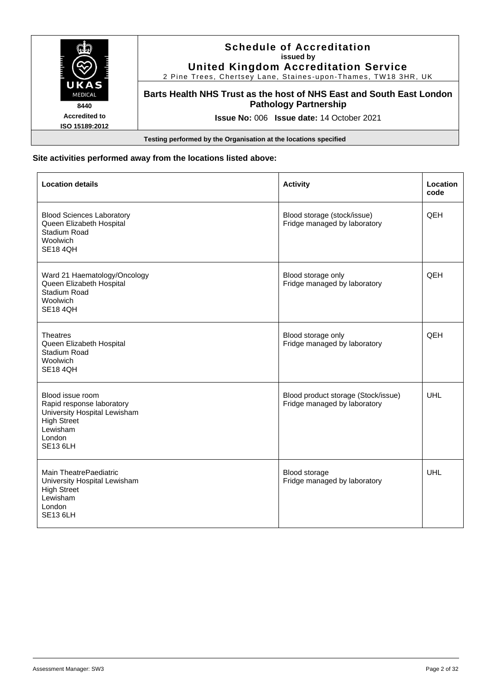|                                        | <b>Schedule of Accreditation</b><br>issued by<br><b>United Kingdom Accreditation Service</b><br>2 Pine Trees, Chertsey Lane, Staines-upon-Thames, TW18 3HR, UK |
|----------------------------------------|----------------------------------------------------------------------------------------------------------------------------------------------------------------|
| UKAS<br><b>MEDICAL</b><br>8440         | Barts Health NHS Trust as the host of NHS East and South East London<br><b>Pathology Partnership</b>                                                           |
| <b>Accredited to</b><br>ISO 15189:2012 | <b>Issue No: 006 Issue date: 14 October 2021</b>                                                                                                               |
|                                        | Testing performed by the Organisation at the locations specified                                                                                               |

# **Site activities performed away from the locations listed above:**

| <b>Location details</b>                                                                                                                      | <b>Activity</b>                                                     | Location<br>code |
|----------------------------------------------------------------------------------------------------------------------------------------------|---------------------------------------------------------------------|------------------|
| <b>Blood Sciences Laboratory</b><br>Queen Elizabeth Hospital<br>Stadium Road<br>Woolwich<br><b>SE18 4QH</b>                                  | Blood storage (stock/issue)<br>Fridge managed by laboratory         | QEH              |
| Ward 21 Haematology/Oncology<br>Queen Elizabeth Hospital<br>Stadium Road<br>Woolwich<br><b>SE18 4QH</b>                                      | Blood storage only<br>Fridge managed by laboratory                  | <b>QEH</b>       |
| <b>Theatres</b><br>Queen Elizabeth Hospital<br>Stadium Road<br>Woolwich<br><b>SE18 4QH</b>                                                   | Blood storage only<br>Fridge managed by laboratory                  | QEH              |
| Blood issue room<br>Rapid response laboratory<br>University Hospital Lewisham<br><b>High Street</b><br>Lewisham<br>London<br><b>SE13 6LH</b> | Blood product storage (Stock/issue)<br>Fridge managed by laboratory | <b>UHL</b>       |
| Main TheatrePaediatric<br>University Hospital Lewisham<br><b>High Street</b><br>Lewisham<br>London<br><b>SE13 6LH</b>                        | Blood storage<br>Fridge managed by laboratory                       | <b>UHL</b>       |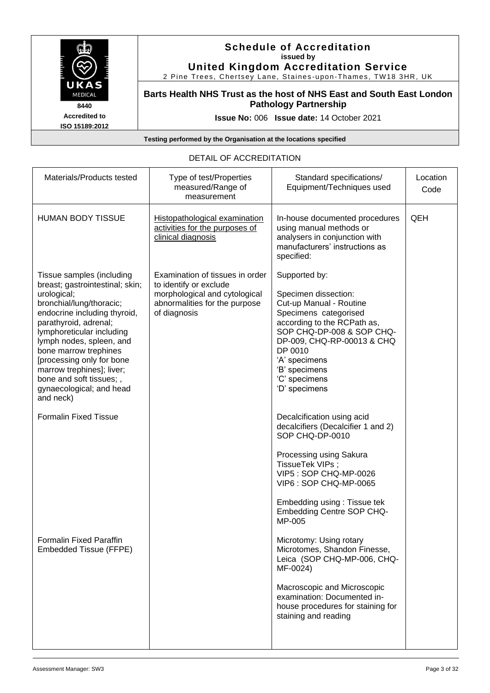

#### **Schedule of Accreditation issued by United Kingdom Accreditation Service**

2 Pine Trees, Chertsey Lane, Staines -upon -Thames, TW18 3HR, UK

**Barts Health NHS Trust as the host of NHS East and South East London Pathology Partnership**

**Issue No:** 006 **Issue date:** 14 October 2021

**Testing performed by the Organisation at the locations specified**

# DETAIL OF ACCREDITATION

| Materials/Products tested                                                                                                                                                                                                                                                                                                                                                        | Type of test/Properties<br>measured/Range of<br>measurement                                                                                 | Standard specifications/<br>Equipment/Techniques used                                                                                                                                                                                                              | Location<br>Code |
|----------------------------------------------------------------------------------------------------------------------------------------------------------------------------------------------------------------------------------------------------------------------------------------------------------------------------------------------------------------------------------|---------------------------------------------------------------------------------------------------------------------------------------------|--------------------------------------------------------------------------------------------------------------------------------------------------------------------------------------------------------------------------------------------------------------------|------------------|
| <b>HUMAN BODY TISSUE</b>                                                                                                                                                                                                                                                                                                                                                         | <b>Histopathological examination</b><br>activities for the purposes of<br>clinical diagnosis                                                | In-house documented procedures<br>using manual methods or<br>analysers in conjunction with<br>manufacturers' instructions as<br>specified:                                                                                                                         | QEH              |
| Tissue samples (including<br>breast; gastrointestinal; skin;<br>urological;<br>bronchial/lung/thoracic;<br>endocrine including thyroid,<br>parathyroid, adrenal;<br>lymphoreticular including<br>lymph nodes, spleen, and<br>bone marrow trephines<br>[processing only for bone<br>marrow trephines]; liver;<br>bone and soft tissues;,<br>gynaecological; and head<br>and neck) | Examination of tissues in order<br>to identify or exclude<br>morphological and cytological<br>abnormalities for the purpose<br>of diagnosis | Supported by:<br>Specimen dissection:<br>Cut-up Manual - Routine<br>Specimens categorised<br>according to the RCPath as,<br>SOP CHQ-DP-008 & SOP CHQ-<br>DP-009, CHQ-RP-00013 & CHQ<br>DP 0010<br>'A' specimens<br>'B' specimens<br>'C' specimens<br>'D' specimens |                  |
| <b>Formalin Fixed Tissue</b>                                                                                                                                                                                                                                                                                                                                                     |                                                                                                                                             | Decalcification using acid<br>decalcifiers (Decalcifier 1 and 2)<br>SOP CHQ-DP-0010<br>Processing using Sakura<br>TissueTek VIPs ;<br>VIP5: SOP CHQ-MP-0026<br>VIP6: SOP CHQ-MP-0065<br>Embedding using: Tissue tek<br><b>Embedding Centre SOP CHQ-</b><br>MP-005  |                  |
| Formalin Fixed Paraffin<br>Embedded Tissue (FFPE)                                                                                                                                                                                                                                                                                                                                |                                                                                                                                             | Microtomy: Using rotary<br>Microtomes, Shandon Finesse,<br>Leica (SOP CHQ-MP-006, CHQ-<br>MF-0024)<br>Macroscopic and Microscopic<br>examination: Documented in-<br>house procedures for staining for<br>staining and reading                                      |                  |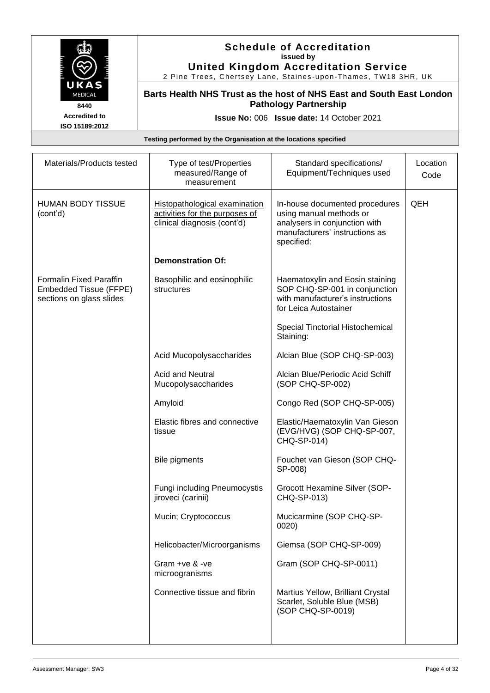

# **Schedule of Accreditation issued by United Kingdom Accreditation Service**

2 Pine Trees, Chertsey Lane, Staines -upon -Thames, TW18 3HR, UK

**Barts Health NHS Trust as the host of NHS East and South East London Pathology Partnership**

**Issue No:** 006 **Issue date:** 14 October 2021

| Materials/Products tested                                                            | Type of test/Properties<br>measured/Range of<br>measurement                                           | Standard specifications/<br>Equipment/Techniques used                                                                                      | Location<br>Code |
|--------------------------------------------------------------------------------------|-------------------------------------------------------------------------------------------------------|--------------------------------------------------------------------------------------------------------------------------------------------|------------------|
| <b>HUMAN BODY TISSUE</b><br>(cont'd)                                                 | <b>Histopathological examination</b><br>activities for the purposes of<br>clinical diagnosis (cont'd) | In-house documented procedures<br>using manual methods or<br>analysers in conjunction with<br>manufacturers' instructions as<br>specified: | QEH              |
|                                                                                      | <b>Demonstration Of:</b>                                                                              |                                                                                                                                            |                  |
| <b>Formalin Fixed Paraffin</b><br>Embedded Tissue (FFPE)<br>sections on glass slides | Basophilic and eosinophilic<br>structures                                                             | Haematoxylin and Eosin staining<br>SOP CHQ-SP-001 in conjunction<br>with manufacturer's instructions<br>for Leica Autostainer              |                  |
|                                                                                      |                                                                                                       | Special Tinctorial Histochemical<br>Staining:                                                                                              |                  |
|                                                                                      | Acid Mucopolysaccharides                                                                              | Alcian Blue (SOP CHQ-SP-003)                                                                                                               |                  |
|                                                                                      | <b>Acid and Neutral</b><br>Mucopolysaccharides                                                        | Alcian Blue/Periodic Acid Schiff<br>(SOP CHQ-SP-002)                                                                                       |                  |
|                                                                                      | Amyloid                                                                                               | Congo Red (SOP CHQ-SP-005)                                                                                                                 |                  |
|                                                                                      | Elastic fibres and connective<br>tissue                                                               | Elastic/Haematoxylin Van Gieson<br>(EVG/HVG) (SOP CHQ-SP-007,<br>CHQ-SP-014)                                                               |                  |
|                                                                                      | <b>Bile pigments</b>                                                                                  | Fouchet van Gieson (SOP CHQ-<br>SP-008)                                                                                                    |                  |
|                                                                                      | <b>Fungi including Pneumocystis</b><br>jiroveci (carinii)                                             | Grocott Hexamine Silver (SOP-<br>CHQ-SP-013)                                                                                               |                  |
|                                                                                      | Mucin; Cryptococcus                                                                                   | Mucicarmine (SOP CHQ-SP-<br>0020                                                                                                           |                  |
|                                                                                      | Helicobacter/Microorganisms                                                                           | Giemsa (SOP CHQ-SP-009)                                                                                                                    |                  |
|                                                                                      | Gram +ve & -ve<br>microogranisms                                                                      | Gram (SOP CHQ-SP-0011)                                                                                                                     |                  |
|                                                                                      | Connective tissue and fibrin                                                                          | Martius Yellow, Brilliant Crystal<br>Scarlet, Soluble Blue (MSB)<br>(SOP CHQ-SP-0019)                                                      |                  |
|                                                                                      |                                                                                                       |                                                                                                                                            |                  |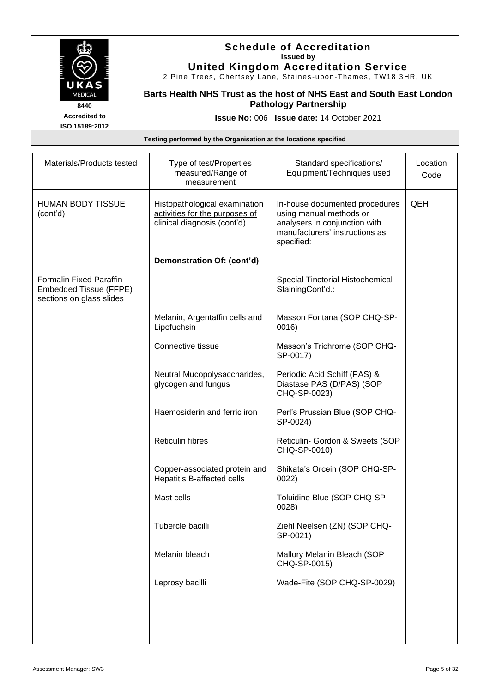

#### **Schedule of Accreditation issued by United Kingdom Accreditation Service**

2 Pine Trees, Chertsey Lane, Staines -upon -Thames, TW18 3HR, UK

**Barts Health NHS Trust as the host of NHS East and South East London Pathology Partnership**

**Issue No:** 006 **Issue date:** 14 October 2021

| Materials/Products tested                                                     | Type of test/Properties<br>measured/Range of<br>measurement                                           | Standard specifications/<br>Equipment/Techniques used                                                                                      | Location<br>Code |
|-------------------------------------------------------------------------------|-------------------------------------------------------------------------------------------------------|--------------------------------------------------------------------------------------------------------------------------------------------|------------------|
| <b>HUMAN BODY TISSUE</b><br>(cont'd)                                          | <b>Histopathological examination</b><br>activities for the purposes of<br>clinical diagnosis (cont'd) | In-house documented procedures<br>using manual methods or<br>analysers in conjunction with<br>manufacturers' instructions as<br>specified: | QEH              |
|                                                                               | Demonstration Of: (cont'd)                                                                            |                                                                                                                                            |                  |
| Formalin Fixed Paraffin<br>Embedded Tissue (FFPE)<br>sections on glass slides |                                                                                                       | Special Tinctorial Histochemical<br>StainingCont'd.:                                                                                       |                  |
|                                                                               | Melanin, Argentaffin cells and<br>Lipofuchsin                                                         | Masson Fontana (SOP CHQ-SP-<br>0016)                                                                                                       |                  |
|                                                                               | Connective tissue                                                                                     | Masson's Trichrome (SOP CHQ-<br>SP-0017)                                                                                                   |                  |
|                                                                               | Neutral Mucopolysaccharides,<br>glycogen and fungus                                                   | Periodic Acid Schiff (PAS) &<br>Diastase PAS (D/PAS) (SOP<br>CHQ-SP-0023)                                                                  |                  |
|                                                                               | Haemosiderin and ferric iron                                                                          | Perl's Prussian Blue (SOP CHQ-<br>SP-0024)                                                                                                 |                  |
|                                                                               | <b>Reticulin fibres</b>                                                                               | Reticulin- Gordon & Sweets (SOP<br>CHQ-SP-0010)                                                                                            |                  |
|                                                                               | Copper-associated protein and<br>Hepatitis B-affected cells                                           | Shikata's Orcein (SOP CHQ-SP-<br>0022)                                                                                                     |                  |
|                                                                               | Mast cells                                                                                            | Toluidine Blue (SOP CHQ-SP-<br>0028                                                                                                        |                  |
|                                                                               | Tubercle bacilli                                                                                      | Ziehl Neelsen (ZN) (SOP CHQ-<br>SP-0021)                                                                                                   |                  |
|                                                                               | Melanin bleach                                                                                        | Mallory Melanin Bleach (SOP<br>CHQ-SP-0015)                                                                                                |                  |
|                                                                               | Leprosy bacilli                                                                                       | Wade-Fite (SOP CHQ-SP-0029)                                                                                                                |                  |
|                                                                               |                                                                                                       |                                                                                                                                            |                  |
|                                                                               |                                                                                                       |                                                                                                                                            |                  |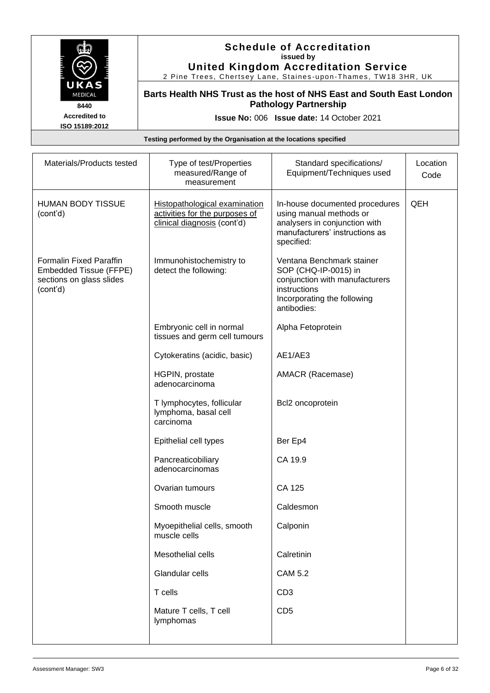

#### **Schedule of Accreditation issued by United Kingdom Accreditation Service**

2 Pine Trees, Chertsey Lane, Staines -upon -Thames, TW18 3HR, UK

**Barts Health NHS Trust as the host of NHS East and South East London Pathology Partnership**

**Issue No:** 006 **Issue date:** 14 October 2021

| Materials/Products tested                                                                        | Type of test/Properties<br>measured/Range of<br>measurement                                    | Standard specifications/<br>Equipment/Techniques used                                                                                             | Location<br>Code |
|--------------------------------------------------------------------------------------------------|------------------------------------------------------------------------------------------------|---------------------------------------------------------------------------------------------------------------------------------------------------|------------------|
| <b>HUMAN BODY TISSUE</b><br>(cont'd)                                                             | Histopathological examination<br>activities for the purposes of<br>clinical diagnosis (cont'd) | In-house documented procedures<br>using manual methods or<br>analysers in conjunction with<br>manufacturers' instructions as<br>specified:        | QEH              |
| <b>Formalin Fixed Paraffin</b><br>Embedded Tissue (FFPE)<br>sections on glass slides<br>(cont'd) | Immunohistochemistry to<br>detect the following:                                               | Ventana Benchmark stainer<br>SOP (CHQ-IP-0015) in<br>conjunction with manufacturers<br>instructions<br>Incorporating the following<br>antibodies: |                  |
|                                                                                                  | Embryonic cell in normal<br>tissues and germ cell tumours                                      | Alpha Fetoprotein                                                                                                                                 |                  |
|                                                                                                  | Cytokeratins (acidic, basic)                                                                   | AE1/AE3                                                                                                                                           |                  |
|                                                                                                  | HGPIN, prostate<br>adenocarcinoma                                                              | AMACR (Racemase)                                                                                                                                  |                  |
|                                                                                                  | T lymphocytes, follicular<br>lymphoma, basal cell<br>carcinoma                                 | Bcl2 oncoprotein                                                                                                                                  |                  |
|                                                                                                  | Epithelial cell types                                                                          | Ber Ep4                                                                                                                                           |                  |
|                                                                                                  | Pancreaticobiliary<br>adenocarcinomas                                                          | CA 19.9                                                                                                                                           |                  |
|                                                                                                  | Ovarian tumours                                                                                | CA 125                                                                                                                                            |                  |
|                                                                                                  | Smooth muscle                                                                                  | Caldesmon                                                                                                                                         |                  |
|                                                                                                  | Myoepithelial cells, smooth<br>muscle cells                                                    | Calponin                                                                                                                                          |                  |
|                                                                                                  | Mesothelial cells                                                                              | Calretinin                                                                                                                                        |                  |
|                                                                                                  | Glandular cells                                                                                | <b>CAM 5.2</b>                                                                                                                                    |                  |
|                                                                                                  | T cells                                                                                        | CD <sub>3</sub>                                                                                                                                   |                  |
|                                                                                                  | Mature T cells, T cell<br>lymphomas                                                            | CD <sub>5</sub>                                                                                                                                   |                  |
|                                                                                                  |                                                                                                |                                                                                                                                                   |                  |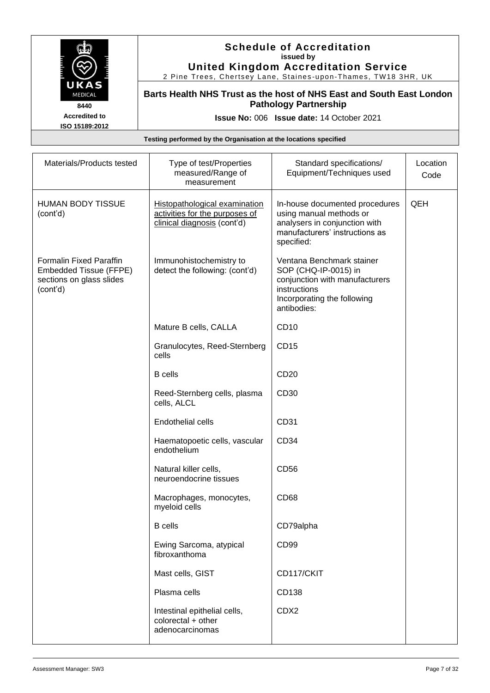

### **Schedule of Accreditation issued by United Kingdom Accreditation Service**

2 Pine Trees, Chertsey Lane, Staines -upon -Thames, TW18 3HR, UK

**Barts Health NHS Trust as the host of NHS East and South East London Pathology Partnership**

**Issue No:** 006 **Issue date:** 14 October 2021

| Materials/Products tested                                                                        | Type of test/Properties<br>measured/Range of<br>measurement                                    | Standard specifications/<br>Equipment/Techniques used                                                                                             | Location<br>Code |
|--------------------------------------------------------------------------------------------------|------------------------------------------------------------------------------------------------|---------------------------------------------------------------------------------------------------------------------------------------------------|------------------|
| <b>HUMAN BODY TISSUE</b><br>(cont'd)                                                             | Histopathological examination<br>activities for the purposes of<br>clinical diagnosis (cont'd) | In-house documented procedures<br>using manual methods or<br>analysers in conjunction with<br>manufacturers' instructions as<br>specified:        | QEH              |
| <b>Formalin Fixed Paraffin</b><br>Embedded Tissue (FFPE)<br>sections on glass slides<br>(cont'd) | Immunohistochemistry to<br>detect the following: (cont'd)                                      | Ventana Benchmark stainer<br>SOP (CHQ-IP-0015) in<br>conjunction with manufacturers<br>instructions<br>Incorporating the following<br>antibodies: |                  |
|                                                                                                  | Mature B cells, CALLA                                                                          | CD <sub>10</sub>                                                                                                                                  |                  |
|                                                                                                  | Granulocytes, Reed-Sternberg<br>cells                                                          | CD15                                                                                                                                              |                  |
|                                                                                                  | <b>B</b> cells                                                                                 | CD20                                                                                                                                              |                  |
|                                                                                                  | Reed-Sternberg cells, plasma<br>cells, ALCL                                                    | CD30                                                                                                                                              |                  |
|                                                                                                  | Endothelial cells                                                                              | CD31                                                                                                                                              |                  |
|                                                                                                  | Haematopoetic cells, vascular<br>endothelium                                                   | CD34                                                                                                                                              |                  |
|                                                                                                  | Natural killer cells,<br>neuroendocrine tissues                                                | CD56                                                                                                                                              |                  |
|                                                                                                  | Macrophages, monocytes,<br>myeloid cells                                                       | CD68                                                                                                                                              |                  |
|                                                                                                  | <b>B</b> cells                                                                                 | CD79alpha                                                                                                                                         |                  |
|                                                                                                  | Ewing Sarcoma, atypical<br>fibroxanthoma                                                       | CD99                                                                                                                                              |                  |
|                                                                                                  | Mast cells, GIST                                                                               | CD117/CKIT                                                                                                                                        |                  |
|                                                                                                  | Plasma cells                                                                                   | CD138                                                                                                                                             |                  |
|                                                                                                  | Intestinal epithelial cells,<br>colorectal + other<br>adenocarcinomas                          | CDX2                                                                                                                                              |                  |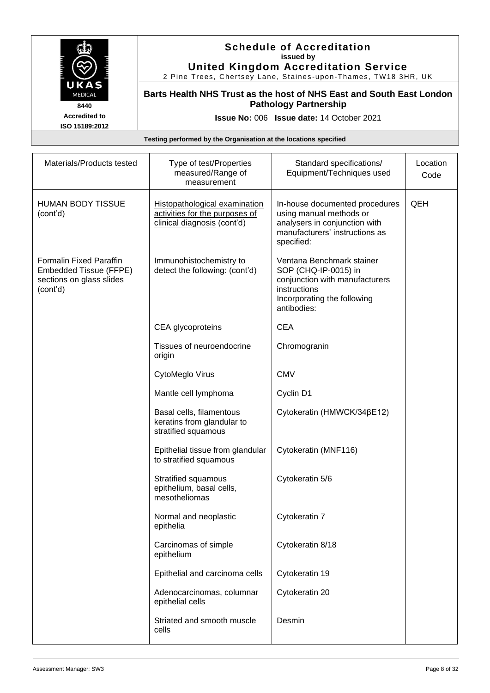

#### **Schedule of Accreditation issued by United Kingdom Accreditation Service**

2 Pine Trees, Chertsey Lane, Staines -upon -Thames, TW18 3HR, UK

**Barts Health NHS Trust as the host of NHS East and South East London Pathology Partnership**

**Issue No:** 006 **Issue date:** 14 October 2021

| Materials/Products tested                                                                        | Type of test/Properties<br>measured/Range of<br>measurement                                           | Standard specifications/<br>Equipment/Techniques used                                                                                             | Location<br>Code |
|--------------------------------------------------------------------------------------------------|-------------------------------------------------------------------------------------------------------|---------------------------------------------------------------------------------------------------------------------------------------------------|------------------|
| <b>HUMAN BODY TISSUE</b><br>(cont'd)                                                             | <b>Histopathological examination</b><br>activities for the purposes of<br>clinical diagnosis (cont'd) | In-house documented procedures<br>using manual methods or<br>analysers in conjunction with<br>manufacturers' instructions as<br>specified:        | QEH              |
| <b>Formalin Fixed Paraffin</b><br>Embedded Tissue (FFPE)<br>sections on glass slides<br>(cont'd) | Immunohistochemistry to<br>detect the following: (cont'd)                                             | Ventana Benchmark stainer<br>SOP (CHQ-IP-0015) in<br>conjunction with manufacturers<br>instructions<br>Incorporating the following<br>antibodies: |                  |
|                                                                                                  | CEA glycoproteins                                                                                     | <b>CEA</b>                                                                                                                                        |                  |
|                                                                                                  | Tissues of neuroendocrine<br>origin                                                                   | Chromogranin                                                                                                                                      |                  |
|                                                                                                  | CytoMeglo Virus                                                                                       | <b>CMV</b>                                                                                                                                        |                  |
|                                                                                                  | Mantle cell lymphoma                                                                                  | Cyclin D1                                                                                                                                         |                  |
|                                                                                                  | Basal cells, filamentous<br>keratins from glandular to<br>stratified squamous                         | Cytokeratin (HMWCK/34βE12)                                                                                                                        |                  |
|                                                                                                  | Epithelial tissue from glandular<br>to stratified squamous                                            | Cytokeratin (MNF116)                                                                                                                              |                  |
|                                                                                                  | <b>Stratified squamous</b><br>epithelium, basal cells,<br>mesotheliomas                               | Cytokeratin 5/6                                                                                                                                   |                  |
|                                                                                                  | Normal and neoplastic<br>epithelia                                                                    | Cytokeratin 7                                                                                                                                     |                  |
|                                                                                                  | Carcinomas of simple<br>epithelium                                                                    | Cytokeratin 8/18                                                                                                                                  |                  |
|                                                                                                  | Epithelial and carcinoma cells                                                                        | Cytokeratin 19                                                                                                                                    |                  |
|                                                                                                  | Adenocarcinomas, columnar<br>epithelial cells                                                         | Cytokeratin 20                                                                                                                                    |                  |
|                                                                                                  | Striated and smooth muscle<br>cells                                                                   | Desmin                                                                                                                                            |                  |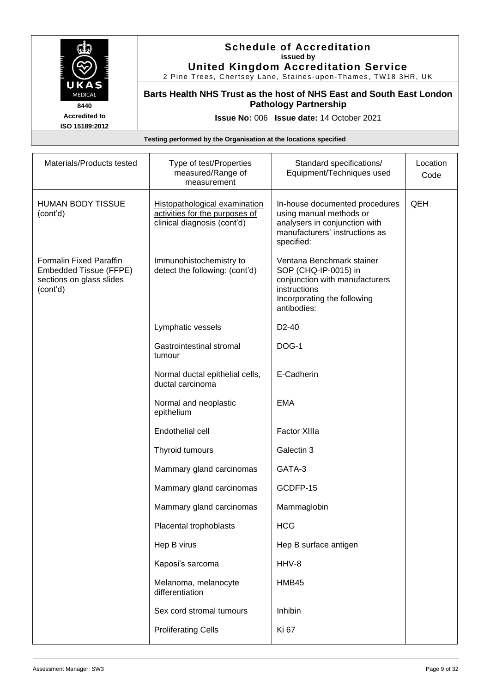

#### **Schedule of Accreditation issued by United Kingdom Accreditation Service**

2 Pine Trees, Chertsey Lane, Staines -upon -Thames, TW18 3HR, UK

**Barts Health NHS Trust as the host of NHS East and South East London Pathology Partnership**

**Issue No:** 006 **Issue date:** 14 October 2021

| Materials/Products tested                                                                 | Type of test/Properties<br>measured/Range of<br>measurement                                           | Standard specifications/<br>Equipment/Techniques used                                                                                             | Location<br>Code |
|-------------------------------------------------------------------------------------------|-------------------------------------------------------------------------------------------------------|---------------------------------------------------------------------------------------------------------------------------------------------------|------------------|
| <b>HUMAN BODY TISSUE</b><br>(cont'd)                                                      | <b>Histopathological examination</b><br>activities for the purposes of<br>clinical diagnosis (cont'd) | In-house documented procedures<br>using manual methods or<br>analysers in conjunction with<br>manufacturers' instructions as<br>specified:        | QEH              |
| Formalin Fixed Paraffin<br>Embedded Tissue (FFPE)<br>sections on glass slides<br>(cont'd) | Immunohistochemistry to<br>detect the following: (cont'd)                                             | Ventana Benchmark stainer<br>SOP (CHQ-IP-0015) in<br>conjunction with manufacturers<br>instructions<br>Incorporating the following<br>antibodies: |                  |
|                                                                                           | Lymphatic vessels                                                                                     | D <sub>2</sub> -40                                                                                                                                |                  |
|                                                                                           | Gastrointestinal stromal<br>tumour                                                                    | DOG-1                                                                                                                                             |                  |
|                                                                                           | Normal ductal epithelial cells,<br>ductal carcinoma                                                   | E-Cadherin                                                                                                                                        |                  |
|                                                                                           | Normal and neoplastic<br>epithelium                                                                   | <b>EMA</b>                                                                                                                                        |                  |
|                                                                                           | Endothelial cell                                                                                      | <b>Factor XIIIa</b>                                                                                                                               |                  |
|                                                                                           | Thyroid tumours                                                                                       | Galectin 3                                                                                                                                        |                  |
|                                                                                           | Mammary gland carcinomas                                                                              | GATA-3                                                                                                                                            |                  |
|                                                                                           | Mammary gland carcinomas                                                                              | GCDFP-15                                                                                                                                          |                  |
|                                                                                           | Mammary gland carcinomas                                                                              | Mammaglobin                                                                                                                                       |                  |
|                                                                                           | Placental trophoblasts                                                                                | <b>HCG</b>                                                                                                                                        |                  |
|                                                                                           | Hep B virus                                                                                           | Hep B surface antigen                                                                                                                             |                  |
|                                                                                           | Kaposi's sarcoma                                                                                      | HHV-8                                                                                                                                             |                  |
|                                                                                           | Melanoma, melanocyte<br>differentiation                                                               | HMB45                                                                                                                                             |                  |
|                                                                                           | Sex cord stromal tumours                                                                              | Inhibin                                                                                                                                           |                  |
|                                                                                           | <b>Proliferating Cells</b>                                                                            | Ki 67                                                                                                                                             |                  |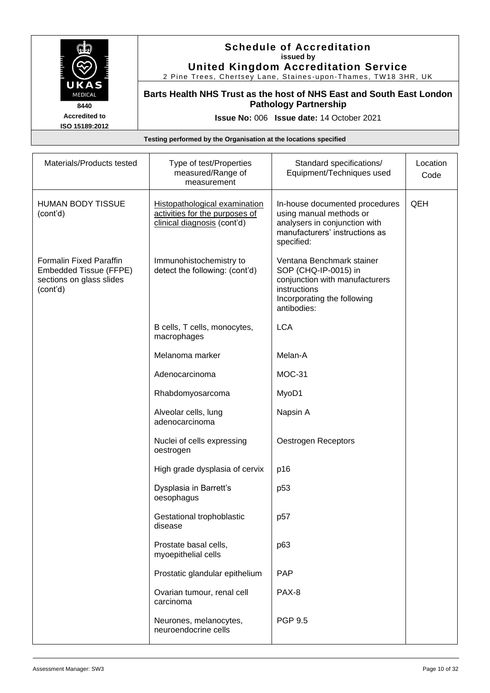

#### **Schedule of Accreditation issued by United Kingdom Accreditation Service**

2 Pine Trees, Chertsey Lane, Staines -upon -Thames, TW18 3HR, UK

**Barts Health NHS Trust as the host of NHS East and South East London Pathology Partnership**

**Issue No:** 006 **Issue date:** 14 October 2021

| Materials/Products tested                                                                        | Type of test/Properties<br>measured/Range of<br>measurement                                           | Standard specifications/<br>Equipment/Techniques used                                                                                             | Location<br>Code |
|--------------------------------------------------------------------------------------------------|-------------------------------------------------------------------------------------------------------|---------------------------------------------------------------------------------------------------------------------------------------------------|------------------|
| <b>HUMAN BODY TISSUE</b><br>(cont'd)                                                             | <b>Histopathological examination</b><br>activities for the purposes of<br>clinical diagnosis (cont'd) | In-house documented procedures<br>using manual methods or<br>analysers in conjunction with<br>manufacturers' instructions as<br>specified:        | QEH              |
| <b>Formalin Fixed Paraffin</b><br>Embedded Tissue (FFPE)<br>sections on glass slides<br>(cont'd) | Immunohistochemistry to<br>detect the following: (cont'd)                                             | Ventana Benchmark stainer<br>SOP (CHQ-IP-0015) in<br>conjunction with manufacturers<br>instructions<br>Incorporating the following<br>antibodies: |                  |
|                                                                                                  | B cells, T cells, monocytes,<br>macrophages                                                           | <b>LCA</b>                                                                                                                                        |                  |
|                                                                                                  | Melanoma marker                                                                                       | Melan-A                                                                                                                                           |                  |
|                                                                                                  | Adenocarcinoma                                                                                        | <b>MOC-31</b>                                                                                                                                     |                  |
|                                                                                                  | Rhabdomyosarcoma                                                                                      | MyoD1                                                                                                                                             |                  |
|                                                                                                  | Alveolar cells, lung<br>adenocarcinoma                                                                | Napsin A                                                                                                                                          |                  |
|                                                                                                  | Nuclei of cells expressing<br>oestrogen                                                               | Oestrogen Receptors                                                                                                                               |                  |
|                                                                                                  | High grade dysplasia of cervix                                                                        | p16                                                                                                                                               |                  |
|                                                                                                  | Dysplasia in Barrett's<br>oesophagus                                                                  | p <sub>53</sub>                                                                                                                                   |                  |
|                                                                                                  | Gestational trophoblastic<br>disease                                                                  | p57                                                                                                                                               |                  |
|                                                                                                  | Prostate basal cells,<br>myoepithelial cells                                                          | p63                                                                                                                                               |                  |
|                                                                                                  | Prostatic glandular epithelium                                                                        | <b>PAP</b>                                                                                                                                        |                  |
|                                                                                                  | Ovarian tumour, renal cell<br>carcinoma                                                               | PAX-8                                                                                                                                             |                  |
|                                                                                                  | Neurones, melanocytes,<br>neuroendocrine cells                                                        | <b>PGP 9.5</b>                                                                                                                                    |                  |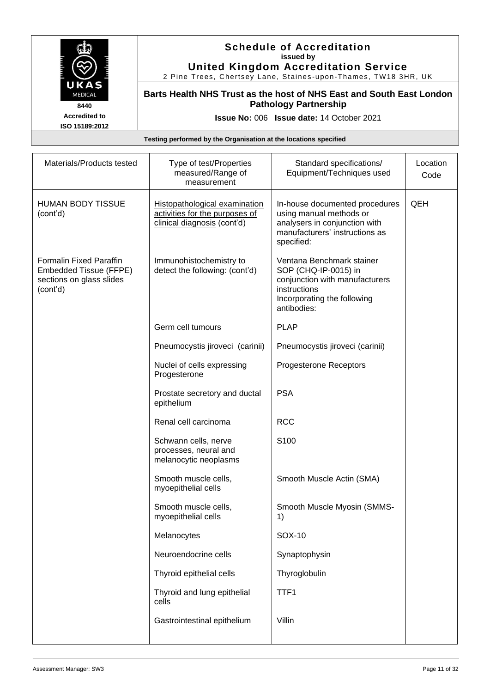

#### **Schedule of Accreditation issued by United Kingdom Accreditation Service**

2 Pine Trees, Chertsey Lane, Staines -upon -Thames, TW18 3HR, UK

**Barts Health NHS Trust as the host of NHS East and South East London Pathology Partnership**

**Issue No:** 006 **Issue date:** 14 October 2021

| Materials/Products tested                                                                        | Type of test/Properties<br>measured/Range of<br>measurement                                    | Standard specifications/<br>Equipment/Techniques used                                                                                             | Location<br>Code |
|--------------------------------------------------------------------------------------------------|------------------------------------------------------------------------------------------------|---------------------------------------------------------------------------------------------------------------------------------------------------|------------------|
| <b>HUMAN BODY TISSUE</b><br>(cont'd)                                                             | Histopathological examination<br>activities for the purposes of<br>clinical diagnosis (cont'd) | In-house documented procedures<br>using manual methods or<br>analysers in conjunction with<br>manufacturers' instructions as<br>specified:        | QEH              |
| <b>Formalin Fixed Paraffin</b><br>Embedded Tissue (FFPE)<br>sections on glass slides<br>(cont'd) | Immunohistochemistry to<br>detect the following: (cont'd)                                      | Ventana Benchmark stainer<br>SOP (CHQ-IP-0015) in<br>conjunction with manufacturers<br>instructions<br>Incorporating the following<br>antibodies: |                  |
|                                                                                                  | Germ cell tumours                                                                              | <b>PLAP</b>                                                                                                                                       |                  |
|                                                                                                  | Pneumocystis jiroveci (carinii)                                                                | Pneumocystis jiroveci (carinii)                                                                                                                   |                  |
|                                                                                                  | Nuclei of cells expressing<br>Progesterone                                                     | Progesterone Receptors                                                                                                                            |                  |
|                                                                                                  | Prostate secretory and ductal<br>epithelium                                                    | <b>PSA</b>                                                                                                                                        |                  |
|                                                                                                  | Renal cell carcinoma                                                                           | <b>RCC</b>                                                                                                                                        |                  |
|                                                                                                  | Schwann cells, nerve<br>processes, neural and<br>melanocytic neoplasms                         | S <sub>100</sub>                                                                                                                                  |                  |
|                                                                                                  | Smooth muscle cells,<br>myoepithelial cells                                                    | Smooth Muscle Actin (SMA)                                                                                                                         |                  |
|                                                                                                  | Smooth muscle cells,<br>myoepithelial cells                                                    | Smooth Muscle Myosin (SMMS-<br>1)                                                                                                                 |                  |
|                                                                                                  | Melanocytes                                                                                    | SOX-10                                                                                                                                            |                  |
|                                                                                                  | Neuroendocrine cells                                                                           | Synaptophysin                                                                                                                                     |                  |
|                                                                                                  | Thyroid epithelial cells                                                                       | Thyroglobulin                                                                                                                                     |                  |
|                                                                                                  | Thyroid and lung epithelial<br>cells                                                           | TTF1                                                                                                                                              |                  |
|                                                                                                  | Gastrointestinal epithelium                                                                    | Villin                                                                                                                                            |                  |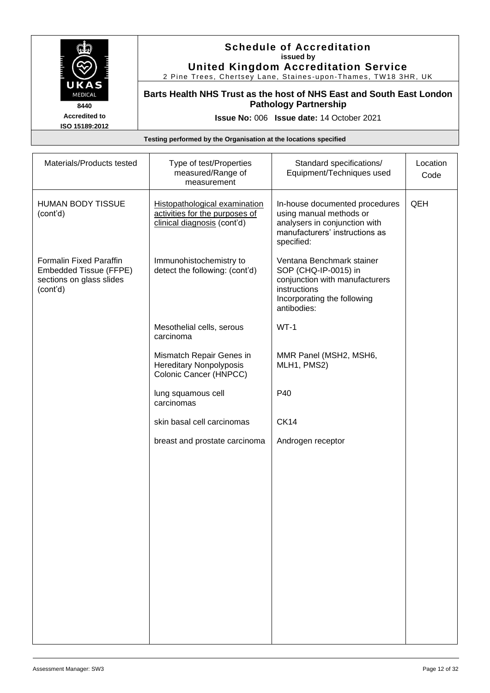

#### **Schedule of Accreditation issued by United Kingdom Accreditation Service**

2 Pine Trees, Chertsey Lane, Staines -upon -Thames, TW18 3HR, UK

**Barts Health NHS Trust as the host of NHS East and South East London Pathology Partnership**

**Issue No:** 006 **Issue date:** 14 October 2021

| Materials/Products tested                                                                        | Type of test/Properties<br>measured/Range of<br>measurement                                    | Standard specifications/<br>Equipment/Techniques used                                                                                             | Location<br>Code |
|--------------------------------------------------------------------------------------------------|------------------------------------------------------------------------------------------------|---------------------------------------------------------------------------------------------------------------------------------------------------|------------------|
| <b>HUMAN BODY TISSUE</b><br>(cont'd)                                                             | Histopathological examination<br>activities for the purposes of<br>clinical diagnosis (cont'd) | In-house documented procedures<br>using manual methods or<br>analysers in conjunction with<br>manufacturers' instructions as<br>specified:        | QEH              |
| <b>Formalin Fixed Paraffin</b><br>Embedded Tissue (FFPE)<br>sections on glass slides<br>(cont'd) | Immunohistochemistry to<br>detect the following: (cont'd)                                      | Ventana Benchmark stainer<br>SOP (CHQ-IP-0015) in<br>conjunction with manufacturers<br>instructions<br>Incorporating the following<br>antibodies: |                  |
|                                                                                                  | Mesothelial cells, serous<br>carcinoma                                                         | $WT-1$                                                                                                                                            |                  |
|                                                                                                  | Mismatch Repair Genes in<br><b>Hereditary Nonpolyposis</b><br>Colonic Cancer (HNPCC)           | MMR Panel (MSH2, MSH6,<br>MLH1, PMS2)                                                                                                             |                  |
|                                                                                                  | lung squamous cell<br>carcinomas                                                               | P40                                                                                                                                               |                  |
|                                                                                                  | skin basal cell carcinomas                                                                     | <b>CK14</b>                                                                                                                                       |                  |
|                                                                                                  | breast and prostate carcinoma                                                                  | Androgen receptor                                                                                                                                 |                  |
|                                                                                                  |                                                                                                |                                                                                                                                                   |                  |
|                                                                                                  |                                                                                                |                                                                                                                                                   |                  |
|                                                                                                  |                                                                                                |                                                                                                                                                   |                  |
|                                                                                                  |                                                                                                |                                                                                                                                                   |                  |
|                                                                                                  |                                                                                                |                                                                                                                                                   |                  |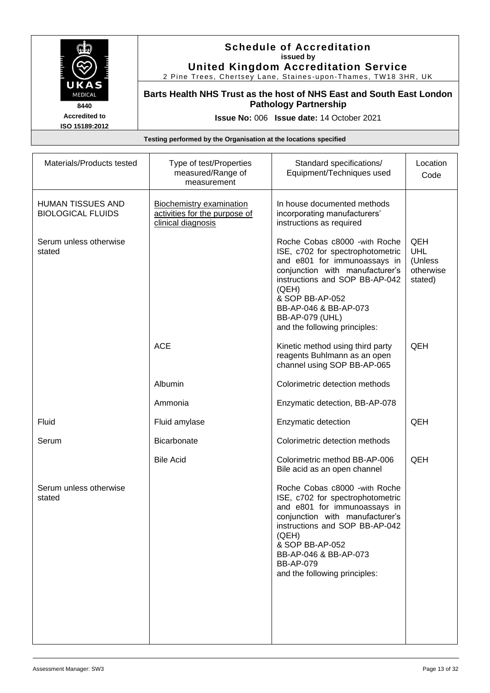

#### **Schedule of Accreditation issued by United Kingdom Accreditation Service**

2 Pine Trees, Chertsey Lane, Staines -upon -Thames, TW18 3HR, UK

**Barts Health NHS Trust as the host of NHS East and South East London Pathology Partnership**

**Issue No:** 006 **Issue date:** 14 October 2021

| Materials/Products tested                            | Type of test/Properties<br>measured/Range of<br>measurement                            | Standard specifications/<br>Equipment/Techniques used                                                                                                                                                                                                                                   | Location<br>Code                                     |
|------------------------------------------------------|----------------------------------------------------------------------------------------|-----------------------------------------------------------------------------------------------------------------------------------------------------------------------------------------------------------------------------------------------------------------------------------------|------------------------------------------------------|
| <b>HUMAN TISSUES AND</b><br><b>BIOLOGICAL FLUIDS</b> | <b>Biochemistry examination</b><br>activities for the purpose of<br>clinical diagnosis | In house documented methods<br>incorporating manufacturers'<br>instructions as required                                                                                                                                                                                                 |                                                      |
| Serum unless otherwise<br>stated                     |                                                                                        | Roche Cobas c8000 - with Roche<br>ISE, c702 for spectrophotometric<br>and e801 for immunoassays in<br>conjunction with manufacturer's<br>instructions and SOP BB-AP-042<br>(QEH)<br>& SOP BB-AP-052<br>BB-AP-046 & BB-AP-073<br><b>BB-AP-079 (UHL)</b><br>and the following principles: | QEH<br><b>UHL</b><br>(Unless<br>otherwise<br>stated) |
|                                                      | <b>ACE</b>                                                                             | Kinetic method using third party<br>reagents Buhlmann as an open<br>channel using SOP BB-AP-065                                                                                                                                                                                         | QEH                                                  |
|                                                      | Albumin                                                                                | Colorimetric detection methods                                                                                                                                                                                                                                                          |                                                      |
|                                                      | Ammonia                                                                                | Enzymatic detection, BB-AP-078                                                                                                                                                                                                                                                          |                                                      |
| Fluid                                                | Fluid amylase                                                                          | Enzymatic detection                                                                                                                                                                                                                                                                     | QEH                                                  |
| Serum                                                | <b>Bicarbonate</b>                                                                     | Colorimetric detection methods                                                                                                                                                                                                                                                          |                                                      |
|                                                      | <b>Bile Acid</b>                                                                       | Colorimetric method BB-AP-006<br>Bile acid as an open channel                                                                                                                                                                                                                           | QEH                                                  |
| Serum unless otherwise<br>stated                     |                                                                                        | Roche Cobas c8000 - with Roche<br>ISE, c702 for spectrophotometric<br>and e801 for immunoassays in<br>conjunction with manufacturer's<br>instructions and SOP BB-AP-042<br>(QEH)<br>& SOP BB-AP-052<br>BB-AP-046 & BB-AP-073<br><b>BB-AP-079</b><br>and the following principles:       |                                                      |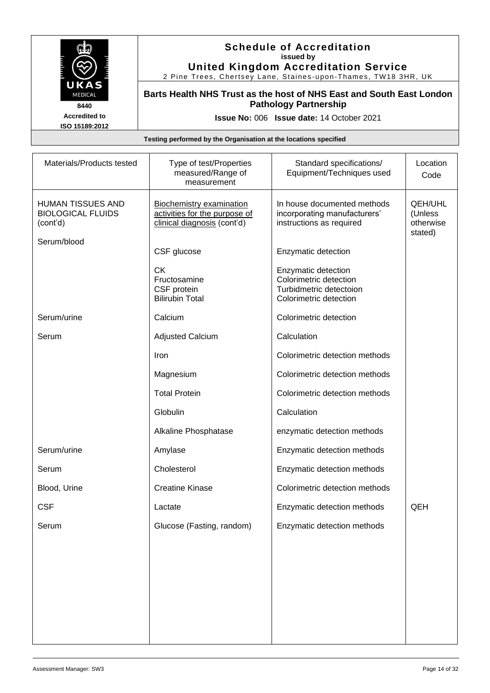

### **Schedule of Accreditation issued by United Kingdom Accreditation Service**

2 Pine Trees, Chertsey Lane, Staines -upon -Thames, TW18 3HR, UK

**Barts Health NHS Trust as the host of NHS East and South East London Pathology Partnership**

**Issue No:** 006 **Issue date:** 14 October 2021

| Materials/Products tested                                        | Type of test/Properties<br>measured/Range of<br>measurement                                     | Standard specifications/<br>Equipment/Techniques used                                              | Location<br>Code                           |
|------------------------------------------------------------------|-------------------------------------------------------------------------------------------------|----------------------------------------------------------------------------------------------------|--------------------------------------------|
| <b>HUMAN TISSUES AND</b><br><b>BIOLOGICAL FLUIDS</b><br>(cont'd) | <b>Biochemistry examination</b><br>activities for the purpose of<br>clinical diagnosis (cont'd) | In house documented methods<br>incorporating manufacturers'<br>instructions as required            | QEH/UHL<br>(Unless<br>otherwise<br>stated) |
| Serum/blood                                                      | CSF glucose                                                                                     | Enzymatic detection                                                                                |                                            |
|                                                                  | <b>CK</b><br>Fructosamine<br>CSF protein<br><b>Bilirubin Total</b>                              | Enzymatic detection<br>Colorimetric detection<br>Turbidmetric detectoion<br>Colorimetric detection |                                            |
| Serum/urine                                                      | Calcium                                                                                         | Colorimetric detection                                                                             |                                            |
| Serum                                                            | <b>Adjusted Calcium</b>                                                                         | Calculation                                                                                        |                                            |
|                                                                  | Iron                                                                                            | Colorimetric detection methods                                                                     |                                            |
|                                                                  | Magnesium                                                                                       | Colorimetric detection methods                                                                     |                                            |
|                                                                  | <b>Total Protein</b>                                                                            | Colorimetric detection methods                                                                     |                                            |
|                                                                  | Globulin                                                                                        | Calculation                                                                                        |                                            |
|                                                                  | Alkaline Phosphatase                                                                            | enzymatic detection methods                                                                        |                                            |
| Serum/urine                                                      | Amylase                                                                                         | Enzymatic detection methods                                                                        |                                            |
| Serum                                                            | Cholesterol                                                                                     | Enzymatic detection methods                                                                        |                                            |
| Blood, Urine                                                     | <b>Creatine Kinase</b>                                                                          | Colorimetric detection methods                                                                     |                                            |
| <b>CSF</b>                                                       | Lactate                                                                                         | Enzymatic detection methods                                                                        | QEH                                        |
| Serum                                                            | Glucose (Fasting, random)                                                                       | Enzymatic detection methods                                                                        |                                            |
|                                                                  |                                                                                                 |                                                                                                    |                                            |
|                                                                  |                                                                                                 |                                                                                                    |                                            |
|                                                                  |                                                                                                 |                                                                                                    |                                            |
|                                                                  |                                                                                                 |                                                                                                    |                                            |
|                                                                  |                                                                                                 |                                                                                                    |                                            |
|                                                                  |                                                                                                 |                                                                                                    |                                            |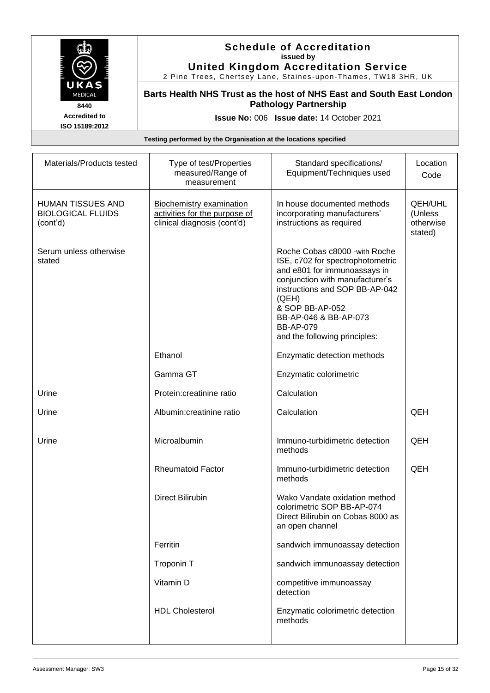

#### **Schedule of Accreditation issued by United Kingdom Accreditation Service**

2 Pine Trees, Chertsey Lane, Staines -upon -Thames, TW18 3HR, UK

**Barts Health NHS Trust as the host of NHS East and South East London Pathology Partnership**

**Issue No:** 006 **Issue date:** 14 October 2021

| Materials/Products tested                                 | Type of test/Properties<br>measured/Range of<br>measurement                                     | Standard specifications/<br>Equipment/Techniques used                                                                                                                                                                                                                             | Location<br>Code                                  |
|-----------------------------------------------------------|-------------------------------------------------------------------------------------------------|-----------------------------------------------------------------------------------------------------------------------------------------------------------------------------------------------------------------------------------------------------------------------------------|---------------------------------------------------|
| HUMAN TISSUES AND<br><b>BIOLOGICAL FLUIDS</b><br>(cont'd) | <b>Biochemistry examination</b><br>activities for the purpose of<br>clinical diagnosis (cont'd) | In house documented methods<br>incorporating manufacturers'<br>instructions as required                                                                                                                                                                                           | <b>QEH/UHL</b><br>(Unless<br>otherwise<br>stated) |
| Serum unless otherwise<br>stated                          |                                                                                                 | Roche Cobas c8000 - with Roche<br>ISE, c702 for spectrophotometric<br>and e801 for immunoassays in<br>conjunction with manufacturer's<br>instructions and SOP BB-AP-042<br>(QEH)<br>& SOP BB-AP-052<br>BB-AP-046 & BB-AP-073<br><b>BB-AP-079</b><br>and the following principles: |                                                   |
|                                                           | Ethanol                                                                                         | Enzymatic detection methods                                                                                                                                                                                                                                                       |                                                   |
|                                                           | Gamma GT                                                                                        | Enzymatic colorimetric                                                                                                                                                                                                                                                            |                                                   |
| Urine                                                     | Protein:creatinine ratio                                                                        | Calculation                                                                                                                                                                                                                                                                       |                                                   |
| Urine                                                     | Albumin:creatinine ratio                                                                        | Calculation                                                                                                                                                                                                                                                                       | QEH                                               |
| Urine                                                     | Microalbumin                                                                                    | Immuno-turbidimetric detection<br>methods                                                                                                                                                                                                                                         | QEH                                               |
|                                                           | <b>Rheumatoid Factor</b>                                                                        | Immuno-turbidimetric detection<br>methods                                                                                                                                                                                                                                         | QEH                                               |
|                                                           | <b>Direct Bilirubin</b>                                                                         | Wako Vandate oxidation method<br>colorimetric SOP BB-AP-074<br>Direct Bilirubin on Cobas 8000 as<br>an open channel                                                                                                                                                               |                                                   |
|                                                           | Ferritin                                                                                        | sandwich immunoassay detection                                                                                                                                                                                                                                                    |                                                   |
|                                                           | Troponin T                                                                                      | sandwich immunoassay detection                                                                                                                                                                                                                                                    |                                                   |
|                                                           | Vitamin D                                                                                       | competitive immunoassay<br>detection                                                                                                                                                                                                                                              |                                                   |
|                                                           | <b>HDL Cholesterol</b>                                                                          | Enzymatic colorimetric detection<br>methods                                                                                                                                                                                                                                       |                                                   |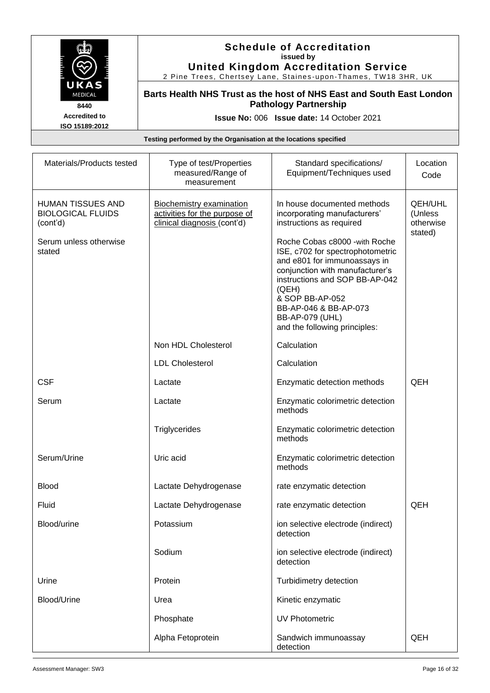

#### **Schedule of Accreditation issued by United Kingdom Accreditation Service**

2 Pine Trees, Chertsey Lane, Staines -upon -Thames, TW18 3HR, UK

**Barts Health NHS Trust as the host of NHS East and South East London Pathology Partnership**

**Issue No:** 006 **Issue date:** 14 October 2021

| Materials/Products tested                                        | Type of test/Properties<br>measured/Range of<br>measurement                                     | Standard specifications/<br>Equipment/Techniques used                                                                                                                                                                                                                                   | Location<br>Code                                  |
|------------------------------------------------------------------|-------------------------------------------------------------------------------------------------|-----------------------------------------------------------------------------------------------------------------------------------------------------------------------------------------------------------------------------------------------------------------------------------------|---------------------------------------------------|
| <b>HUMAN TISSUES AND</b><br><b>BIOLOGICAL FLUIDS</b><br>(cont'd) | <b>Biochemistry examination</b><br>activities for the purpose of<br>clinical diagnosis (cont'd) | In house documented methods<br>incorporating manufacturers'<br>instructions as required                                                                                                                                                                                                 | <b>QEH/UHL</b><br>(Unless<br>otherwise<br>stated) |
| Serum unless otherwise<br>stated                                 |                                                                                                 | Roche Cobas c8000 - with Roche<br>ISE, c702 for spectrophotometric<br>and e801 for immunoassays in<br>conjunction with manufacturer's<br>instructions and SOP BB-AP-042<br>(QEH)<br>& SOP BB-AP-052<br>BB-AP-046 & BB-AP-073<br><b>BB-AP-079 (UHL)</b><br>and the following principles: |                                                   |
|                                                                  | Non HDL Cholesterol                                                                             | Calculation                                                                                                                                                                                                                                                                             |                                                   |
|                                                                  | <b>LDL Cholesterol</b>                                                                          | Calculation                                                                                                                                                                                                                                                                             |                                                   |
| <b>CSF</b>                                                       | Lactate                                                                                         | Enzymatic detection methods                                                                                                                                                                                                                                                             | QEH                                               |
| Serum                                                            | Lactate                                                                                         | Enzymatic colorimetric detection<br>methods                                                                                                                                                                                                                                             |                                                   |
|                                                                  | Triglycerides                                                                                   | Enzymatic colorimetric detection<br>methods                                                                                                                                                                                                                                             |                                                   |
| Serum/Urine                                                      | Uric acid                                                                                       | Enzymatic colorimetric detection<br>methods                                                                                                                                                                                                                                             |                                                   |
| <b>Blood</b>                                                     | Lactate Dehydrogenase                                                                           | rate enzymatic detection                                                                                                                                                                                                                                                                |                                                   |
| Fluid                                                            | Lactate Dehydrogenase                                                                           | rate enzymatic detection                                                                                                                                                                                                                                                                | QEH                                               |
| Blood/urine                                                      | Potassium                                                                                       | ion selective electrode (indirect)<br>detection                                                                                                                                                                                                                                         |                                                   |
|                                                                  | Sodium                                                                                          | ion selective electrode (indirect)<br>detection                                                                                                                                                                                                                                         |                                                   |
| Urine                                                            | Protein                                                                                         | Turbidimetry detection                                                                                                                                                                                                                                                                  |                                                   |
| <b>Blood/Urine</b>                                               | Urea                                                                                            | Kinetic enzymatic                                                                                                                                                                                                                                                                       |                                                   |
|                                                                  | Phosphate                                                                                       | <b>UV Photometric</b>                                                                                                                                                                                                                                                                   |                                                   |
|                                                                  | Alpha Fetoprotein                                                                               | Sandwich immunoassay<br>detection                                                                                                                                                                                                                                                       | QEH                                               |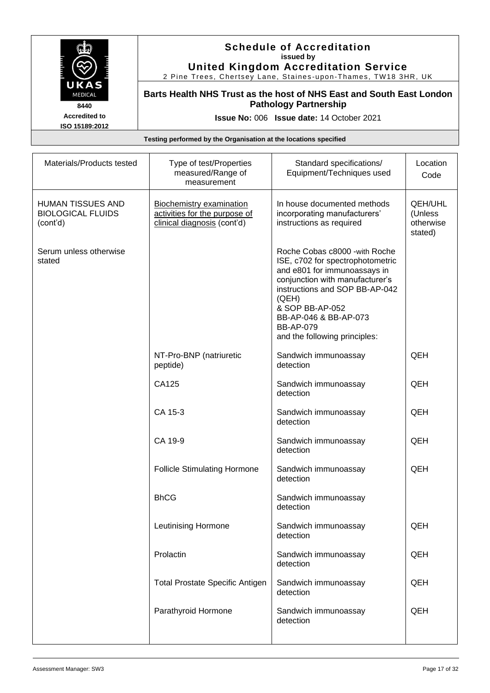

#### **Schedule of Accreditation issued by United Kingdom Accreditation Service**

2 Pine Trees, Chertsey Lane, Staines -upon -Thames, TW18 3HR, UK

**Barts Health NHS Trust as the host of NHS East and South East London Pathology Partnership**

**Issue No:** 006 **Issue date:** 14 October 2021

| Materials/Products tested                                        | Type of test/Properties<br>measured/Range of<br>measurement                                     | Standard specifications/<br>Equipment/Techniques used                                                                                                                                                                                                                             | Location<br>Code                                  |
|------------------------------------------------------------------|-------------------------------------------------------------------------------------------------|-----------------------------------------------------------------------------------------------------------------------------------------------------------------------------------------------------------------------------------------------------------------------------------|---------------------------------------------------|
| <b>HUMAN TISSUES AND</b><br><b>BIOLOGICAL FLUIDS</b><br>(cont'd) | <b>Biochemistry examination</b><br>activities for the purpose of<br>clinical diagnosis (cont'd) | In house documented methods<br>incorporating manufacturers'<br>instructions as required                                                                                                                                                                                           | <b>QEH/UHL</b><br>(Unless<br>otherwise<br>stated) |
| Serum unless otherwise<br>stated                                 |                                                                                                 | Roche Cobas c8000 - with Roche<br>ISE, c702 for spectrophotometric<br>and e801 for immunoassays in<br>conjunction with manufacturer's<br>instructions and SOP BB-AP-042<br>(QEH)<br>& SOP BB-AP-052<br>BB-AP-046 & BB-AP-073<br><b>BB-AP-079</b><br>and the following principles: |                                                   |
|                                                                  | NT-Pro-BNP (natriuretic<br>peptide)                                                             | Sandwich immunoassay<br>detection                                                                                                                                                                                                                                                 | QEH                                               |
|                                                                  | CA125                                                                                           | Sandwich immunoassay<br>detection                                                                                                                                                                                                                                                 | QEH                                               |
|                                                                  | CA 15-3                                                                                         | Sandwich immunoassay<br>detection                                                                                                                                                                                                                                                 | QEH                                               |
|                                                                  | CA 19-9                                                                                         | Sandwich immunoassay<br>detection                                                                                                                                                                                                                                                 | QEH                                               |
|                                                                  | <b>Follicle Stimulating Hormone</b>                                                             | Sandwich immunoassay<br>detection                                                                                                                                                                                                                                                 | QEH                                               |
|                                                                  | <b>BhCG</b>                                                                                     | Sandwich immunoassay<br>detection                                                                                                                                                                                                                                                 |                                                   |
|                                                                  | <b>Leutinising Hormone</b>                                                                      | Sandwich immunoassay<br>detection                                                                                                                                                                                                                                                 | QEH                                               |
|                                                                  | Prolactin                                                                                       | Sandwich immunoassay<br>detection                                                                                                                                                                                                                                                 | QEH                                               |
|                                                                  | <b>Total Prostate Specific Antigen</b>                                                          | Sandwich immunoassay<br>detection                                                                                                                                                                                                                                                 | QEH                                               |
|                                                                  | Parathyroid Hormone                                                                             | Sandwich immunoassay<br>detection                                                                                                                                                                                                                                                 | QEH                                               |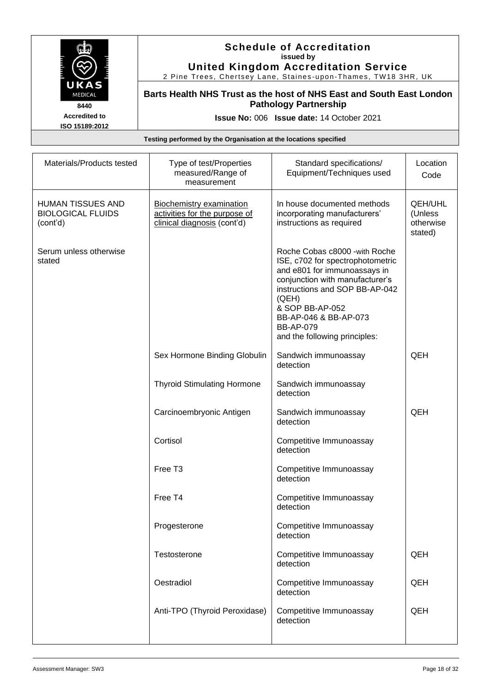

#### **Schedule of Accreditation issued by United Kingdom Accreditation Service**

2 Pine Trees, Chertsey Lane, Staines -upon -Thames, TW18 3HR, UK

**Barts Health NHS Trust as the host of NHS East and South East London Pathology Partnership**

**Issue No:** 006 **Issue date:** 14 October 2021

| Materials/Products tested                                        | Type of test/Properties<br>measured/Range of<br>measurement                                     | Standard specifications/<br>Equipment/Techniques used                                                                                                                                                                                                                             | Location<br>Code                                  |
|------------------------------------------------------------------|-------------------------------------------------------------------------------------------------|-----------------------------------------------------------------------------------------------------------------------------------------------------------------------------------------------------------------------------------------------------------------------------------|---------------------------------------------------|
| <b>HUMAN TISSUES AND</b><br><b>BIOLOGICAL FLUIDS</b><br>(cont'd) | <b>Biochemistry examination</b><br>activities for the purpose of<br>clinical diagnosis (cont'd) | In house documented methods<br>incorporating manufacturers'<br>instructions as required                                                                                                                                                                                           | <b>QEH/UHL</b><br>(Unless<br>otherwise<br>stated) |
| Serum unless otherwise<br>stated                                 |                                                                                                 | Roche Cobas c8000 - with Roche<br>ISE, c702 for spectrophotometric<br>and e801 for immunoassays in<br>conjunction with manufacturer's<br>instructions and SOP BB-AP-042<br>(QEH)<br>& SOP BB-AP-052<br>BB-AP-046 & BB-AP-073<br><b>BB-AP-079</b><br>and the following principles: |                                                   |
|                                                                  | Sex Hormone Binding Globulin                                                                    | Sandwich immunoassay<br>detection                                                                                                                                                                                                                                                 | QEH                                               |
|                                                                  | <b>Thyroid Stimulating Hormone</b>                                                              | Sandwich immunoassay<br>detection                                                                                                                                                                                                                                                 |                                                   |
|                                                                  | Carcinoembryonic Antigen                                                                        | Sandwich immunoassay<br>detection                                                                                                                                                                                                                                                 | QEH                                               |
|                                                                  | Cortisol                                                                                        | Competitive Immunoassay<br>detection                                                                                                                                                                                                                                              |                                                   |
|                                                                  | Free T <sub>3</sub>                                                                             | Competitive Immunoassay<br>detection                                                                                                                                                                                                                                              |                                                   |
|                                                                  | Free T4                                                                                         | Competitive Immunoassay<br>detection                                                                                                                                                                                                                                              |                                                   |
|                                                                  | Progesterone                                                                                    | Competitive Immunoassay<br>detection                                                                                                                                                                                                                                              |                                                   |
|                                                                  | Testosterone                                                                                    | Competitive Immunoassay<br>detection                                                                                                                                                                                                                                              | QEH                                               |
|                                                                  | Oestradiol                                                                                      | Competitive Immunoassay<br>detection                                                                                                                                                                                                                                              | QEH                                               |
|                                                                  | Anti-TPO (Thyroid Peroxidase)                                                                   | Competitive Immunoassay<br>detection                                                                                                                                                                                                                                              | QEH                                               |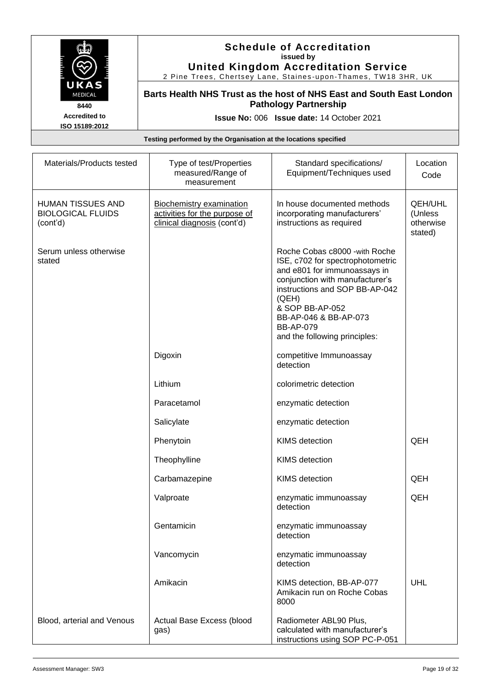

#### **Schedule of Accreditation issued by United Kingdom Accreditation Service**

2 Pine Trees, Chertsey Lane, Staines -upon -Thames, TW18 3HR, UK

**Barts Health NHS Trust as the host of NHS East and South East London Pathology Partnership**

**Issue No:** 006 **Issue date:** 14 October 2021

| Materials/Products tested                                        | Type of test/Properties<br>measured/Range of<br>measurement                                     | Standard specifications/<br>Equipment/Techniques used                                                                                                                                                                                                                             | Location<br>Code                                  |
|------------------------------------------------------------------|-------------------------------------------------------------------------------------------------|-----------------------------------------------------------------------------------------------------------------------------------------------------------------------------------------------------------------------------------------------------------------------------------|---------------------------------------------------|
| <b>HUMAN TISSUES AND</b><br><b>BIOLOGICAL FLUIDS</b><br>(cont'd) | <b>Biochemistry examination</b><br>activities for the purpose of<br>clinical diagnosis (cont'd) | In house documented methods<br>incorporating manufacturers'<br>instructions as required                                                                                                                                                                                           | <b>QEH/UHL</b><br>(Unless<br>otherwise<br>stated) |
| Serum unless otherwise<br>stated                                 |                                                                                                 | Roche Cobas c8000 - with Roche<br>ISE, c702 for spectrophotometric<br>and e801 for immunoassays in<br>conjunction with manufacturer's<br>instructions and SOP BB-AP-042<br>(QEH)<br>& SOP BB-AP-052<br>BB-AP-046 & BB-AP-073<br><b>BB-AP-079</b><br>and the following principles: |                                                   |
|                                                                  | Digoxin                                                                                         | competitive Immunoassay<br>detection                                                                                                                                                                                                                                              |                                                   |
|                                                                  | Lithium                                                                                         | colorimetric detection                                                                                                                                                                                                                                                            |                                                   |
|                                                                  | Paracetamol                                                                                     | enzymatic detection                                                                                                                                                                                                                                                               |                                                   |
|                                                                  | Salicylate                                                                                      | enzymatic detection                                                                                                                                                                                                                                                               |                                                   |
|                                                                  | Phenytoin                                                                                       | KIMS detection                                                                                                                                                                                                                                                                    | QEH                                               |
|                                                                  | Theophylline                                                                                    | <b>KIMS</b> detection                                                                                                                                                                                                                                                             |                                                   |
|                                                                  | Carbamazepine                                                                                   | <b>KIMS</b> detection                                                                                                                                                                                                                                                             | QEH                                               |
|                                                                  | Valproate                                                                                       | enzymatic immunoassay<br>detection                                                                                                                                                                                                                                                | QEH                                               |
|                                                                  | Gentamicin                                                                                      | enzymatic immunoassay<br>detection                                                                                                                                                                                                                                                |                                                   |
|                                                                  | Vancomycin                                                                                      | enzymatic immunoassay<br>detection                                                                                                                                                                                                                                                |                                                   |
|                                                                  | Amikacin                                                                                        | KIMS detection, BB-AP-077<br>Amikacin run on Roche Cobas<br>8000                                                                                                                                                                                                                  | <b>UHL</b>                                        |
| Blood, arterial and Venous                                       | Actual Base Excess (blood<br>gas)                                                               | Radiometer ABL90 Plus,<br>calculated with manufacturer's<br>instructions using SOP PC-P-051                                                                                                                                                                                       |                                                   |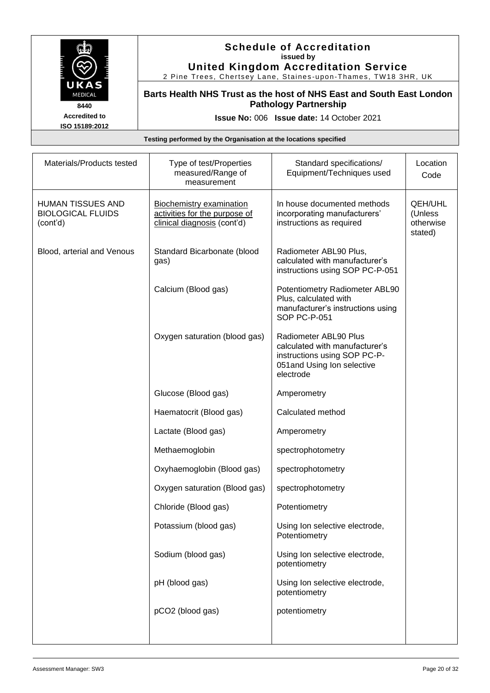

#### **Schedule of Accreditation issued by United Kingdom Accreditation Service**

2 Pine Trees, Chertsey Lane, Staines -upon -Thames, TW18 3HR, UK

**Barts Health NHS Trust as the host of NHS East and South East London Pathology Partnership**

**Issue No:** 006 **Issue date:** 14 October 2021

| Materials/Products tested                                        | Type of test/Properties<br>measured/Range of<br>measurement                                     | Standard specifications/<br>Equipment/Techniques used                                                                              | Location<br>Code                                  |
|------------------------------------------------------------------|-------------------------------------------------------------------------------------------------|------------------------------------------------------------------------------------------------------------------------------------|---------------------------------------------------|
| <b>HUMAN TISSUES AND</b><br><b>BIOLOGICAL FLUIDS</b><br>(cont'd) | <b>Biochemistry examination</b><br>activities for the purpose of<br>clinical diagnosis (cont'd) | In house documented methods<br>incorporating manufacturers'<br>instructions as required                                            | <b>QEH/UHL</b><br>(Unless<br>otherwise<br>stated) |
| Blood, arterial and Venous                                       | Standard Bicarbonate (blood<br>gas)                                                             | Radiometer ABL90 Plus,<br>calculated with manufacturer's<br>instructions using SOP PC-P-051                                        |                                                   |
|                                                                  | Calcium (Blood gas)                                                                             | Potentiometry Radiometer ABL90<br>Plus, calculated with<br>manufacturer's instructions using<br>SOP PC-P-051                       |                                                   |
|                                                                  | Oxygen saturation (blood gas)                                                                   | Radiometer ABL90 Plus<br>calculated with manufacturer's<br>instructions using SOP PC-P-<br>051and Using Ion selective<br>electrode |                                                   |
|                                                                  | Glucose (Blood gas)                                                                             | Amperometry                                                                                                                        |                                                   |
|                                                                  | Haematocrit (Blood gas)                                                                         | Calculated method                                                                                                                  |                                                   |
|                                                                  | Lactate (Blood gas)                                                                             | Amperometry                                                                                                                        |                                                   |
|                                                                  | Methaemoglobin                                                                                  | spectrophotometry                                                                                                                  |                                                   |
|                                                                  | Oxyhaemoglobin (Blood gas)                                                                      | spectrophotometry                                                                                                                  |                                                   |
|                                                                  | Oxygen saturation (Blood gas)                                                                   | spectrophotometry                                                                                                                  |                                                   |
|                                                                  | Chloride (Blood gas)                                                                            | Potentiometry                                                                                                                      |                                                   |
|                                                                  | Potassium (blood gas)                                                                           | Using Ion selective electrode,<br>Potentiometry                                                                                    |                                                   |
|                                                                  | Sodium (blood gas)                                                                              | Using Ion selective electrode,<br>potentiometry                                                                                    |                                                   |
|                                                                  | pH (blood gas)                                                                                  | Using Ion selective electrode,<br>potentiometry                                                                                    |                                                   |
|                                                                  | pCO2 (blood gas)                                                                                | potentiometry                                                                                                                      |                                                   |
|                                                                  |                                                                                                 |                                                                                                                                    |                                                   |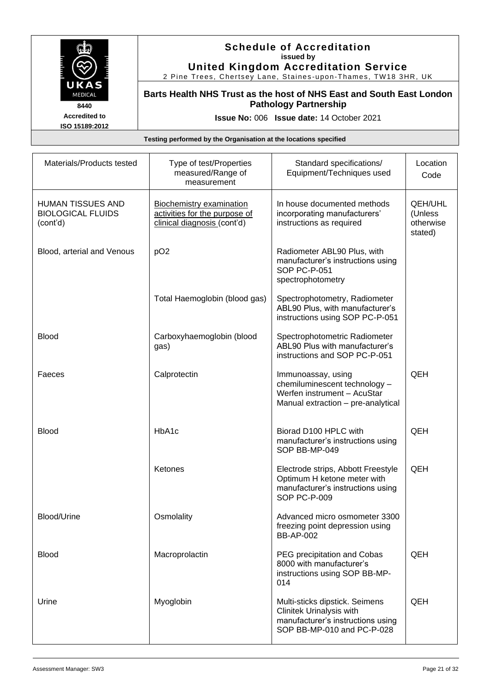

**Schedule of Accreditation issued by United Kingdom Accreditation Service**

2 Pine Trees, Chertsey Lane, Staines -upon -Thames, TW18 3HR, UK

**Barts Health NHS Trust as the host of NHS East and South East London Pathology Partnership**

**Issue No:** 006 **Issue date:** 14 October 2021

| Materials/Products tested                                        | Type of test/Properties<br>measured/Range of<br>measurement                                     | Standard specifications/<br>Equipment/Techniques used                                                                         | Location<br>Code                                  |
|------------------------------------------------------------------|-------------------------------------------------------------------------------------------------|-------------------------------------------------------------------------------------------------------------------------------|---------------------------------------------------|
| <b>HUMAN TISSUES AND</b><br><b>BIOLOGICAL FLUIDS</b><br>(cont'd) | <b>Biochemistry examination</b><br>activities for the purpose of<br>clinical diagnosis (cont'd) | In house documented methods<br>incorporating manufacturers'<br>instructions as required                                       | <b>QEH/UHL</b><br>(Unless<br>otherwise<br>stated) |
| Blood, arterial and Venous                                       | pO <sub>2</sub>                                                                                 | Radiometer ABL90 Plus, with<br>manufacturer's instructions using<br>SOP PC-P-051<br>spectrophotometry                         |                                                   |
|                                                                  | Total Haemoglobin (blood gas)                                                                   | Spectrophotometry, Radiometer<br>ABL90 Plus, with manufacturer's<br>instructions using SOP PC-P-051                           |                                                   |
| <b>Blood</b>                                                     | Carboxyhaemoglobin (blood<br>gas)                                                               | Spectrophotometric Radiometer<br>ABL90 Plus with manufacturer's<br>instructions and SOP PC-P-051                              |                                                   |
| Faeces                                                           | Calprotectin                                                                                    | Immunoassay, using<br>chemiluminescent technology -<br>Werfen instrument - AcuStar<br>Manual extraction - pre-analytical      | QEH                                               |
| <b>Blood</b>                                                     | HbA1c                                                                                           | Biorad D100 HPLC with<br>manufacturer's instructions using<br>SOP BB-MP-049                                                   | QEH                                               |
|                                                                  | Ketones                                                                                         | Electrode strips, Abbott Freestyle<br>Optimum H ketone meter with<br>manufacturer's instructions using<br>SOP PC-P-009        | QEH                                               |
| Blood/Urine                                                      | Osmolality                                                                                      | Advanced micro osmometer 3300<br>freezing point depression using<br><b>BB-AP-002</b>                                          |                                                   |
| <b>Blood</b>                                                     | Macroprolactin                                                                                  | PEG precipitation and Cobas<br>8000 with manufacturer's<br>instructions using SOP BB-MP-<br>014                               | QEH                                               |
| Urine                                                            | Myoglobin                                                                                       | Multi-sticks dipstick. Seimens<br>Clinitek Urinalysis with<br>manufacturer's instructions using<br>SOP BB-MP-010 and PC-P-028 | QEH                                               |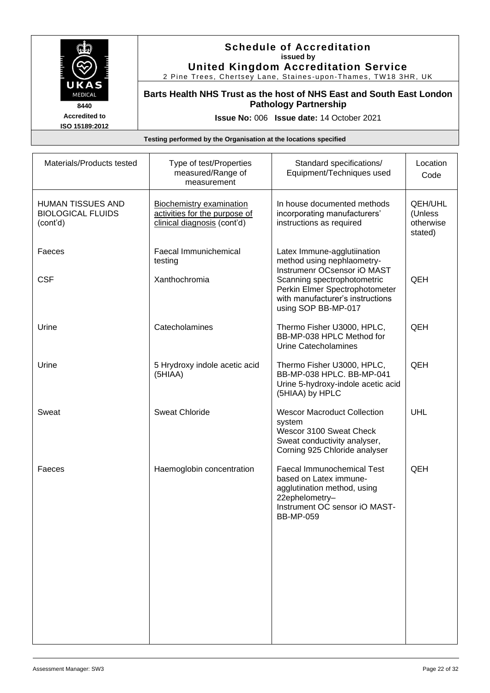

#### **Schedule of Accreditation issued by United Kingdom Accreditation Service**

2 Pine Trees, Chertsey Lane, Staines -upon -Thames, TW18 3HR, UK

**Barts Health NHS Trust as the host of NHS East and South East London Pathology Partnership**

**Issue No:** 006 **Issue date:** 14 October 2021

| Materials/Products tested                                 | Type of test/Properties<br>measured/Range of<br>measurement                                     | Standard specifications/<br>Equipment/Techniques used                                                                                                             | Location<br>Code                           |
|-----------------------------------------------------------|-------------------------------------------------------------------------------------------------|-------------------------------------------------------------------------------------------------------------------------------------------------------------------|--------------------------------------------|
| HUMAN TISSUES AND<br><b>BIOLOGICAL FLUIDS</b><br>(cont'd) | <b>Biochemistry examination</b><br>activities for the purpose of<br>clinical diagnosis (cont'd) | In house documented methods<br>incorporating manufacturers'<br>instructions as required                                                                           | QEH/UHL<br>(Unless<br>otherwise<br>stated) |
| Faeces                                                    | Faecal Immunichemical<br>testing                                                                | Latex Immune-agglutiination<br>method using nephlaometry-<br>Instrumenr OCsensor iO MAST                                                                          |                                            |
| <b>CSF</b>                                                | Xanthochromia                                                                                   | Scanning spectrophotometric<br>Perkin Elmer Spectrophotometer<br>with manufacturer's instructions<br>using SOP BB-MP-017                                          | QEH                                        |
| Urine                                                     | Catecholamines                                                                                  | Thermo Fisher U3000, HPLC,<br>BB-MP-038 HPLC Method for<br>Urine Catecholamines                                                                                   | QEH                                        |
| Urine                                                     | 5 Hrydroxy indole acetic acid<br>(5HIAA)                                                        | Thermo Fisher U3000, HPLC,<br>BB-MP-038 HPLC. BB-MP-041<br>Urine 5-hydroxy-indole acetic acid<br>(5HIAA) by HPLC                                                  | QEH                                        |
| Sweat                                                     | <b>Sweat Chloride</b>                                                                           | <b>Wescor Macroduct Collection</b><br>system<br>Wescor 3100 Sweat Check<br>Sweat conductivity analyser,<br>Corning 925 Chloride analyser                          | UHL                                        |
| Faeces                                                    | Haemoglobin concentration                                                                       | <b>Faecal Immunochemical Test</b><br>based on Latex immune-<br>agglutination method, using<br>22ephelometry-<br>Instrument OC sensor iO MAST-<br><b>BB-MP-059</b> | QEH                                        |
|                                                           |                                                                                                 |                                                                                                                                                                   |                                            |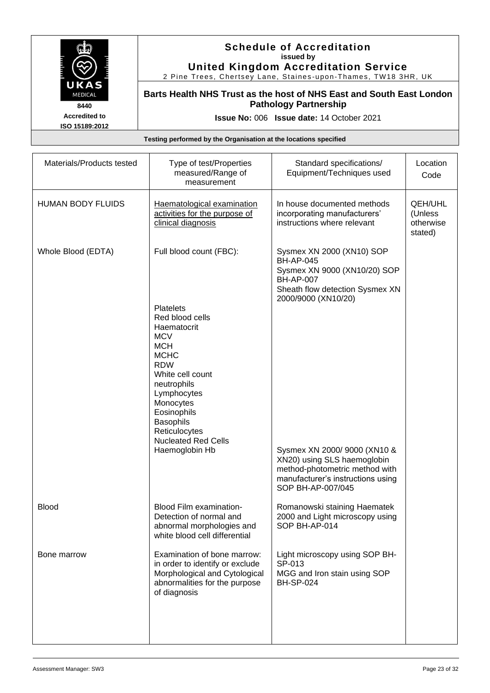

#### **Schedule of Accreditation issued by United Kingdom Accreditation Service**

2 Pine Trees, Chertsey Lane, Staines -upon -Thames, TW18 3HR, UK

**Barts Health NHS Trust as the host of NHS East and South East London Pathology Partnership**

**Issue No:** 006 **Issue date:** 14 October 2021

| Materials/Products tested | Type of test/Properties<br>measured/Range of<br>measurement                                                                                                                                                                                                                                               | Standard specifications/<br>Equipment/Techniques used                                                                                                                                                                                                                                                                 | Location<br>Code                                  |
|---------------------------|-----------------------------------------------------------------------------------------------------------------------------------------------------------------------------------------------------------------------------------------------------------------------------------------------------------|-----------------------------------------------------------------------------------------------------------------------------------------------------------------------------------------------------------------------------------------------------------------------------------------------------------------------|---------------------------------------------------|
| <b>HUMAN BODY FLUIDS</b>  | Haematological examination<br>activities for the purpose of<br>clinical diagnosis                                                                                                                                                                                                                         | In house documented methods<br>incorporating manufacturers'<br>instructions where relevant                                                                                                                                                                                                                            | <b>QEH/UHL</b><br>(Unless<br>otherwise<br>stated) |
| Whole Blood (EDTA)        | Full blood count (FBC):<br><b>Platelets</b><br>Red blood cells<br>Haematocrit<br><b>MCV</b><br><b>MCH</b><br><b>MCHC</b><br><b>RDW</b><br>White cell count<br>neutrophils<br>Lymphocytes<br>Monocytes<br>Eosinophils<br><b>Basophils</b><br>Reticulocytes<br><b>Nucleated Red Cells</b><br>Haemoglobin Hb | Sysmex XN 2000 (XN10) SOP<br><b>BH-AP-045</b><br>Sysmex XN 9000 (XN10/20) SOP<br><b>BH-AP-007</b><br>Sheath flow detection Sysmex XN<br>2000/9000 (XN10/20)<br>Sysmex XN 2000/9000 (XN10 &<br>XN20) using SLS haemoglobin<br>method-photometric method with<br>manufacturer's instructions using<br>SOP BH-AP-007/045 |                                                   |
| <b>Blood</b>              | Blood Film examination-<br>Detection of normal and<br>abnormal morphologies and<br>white blood cell differential                                                                                                                                                                                          | Romanowski staining Haematek<br>2000 and Light microscopy using<br>SOP BH-AP-014                                                                                                                                                                                                                                      |                                                   |
| Bone marrow               | Examination of bone marrow:<br>in order to identify or exclude<br>Morphological and Cytological<br>abnormalities for the purpose<br>of diagnosis                                                                                                                                                          | Light microscopy using SOP BH-<br>SP-013<br>MGG and Iron stain using SOP<br><b>BH-SP-024</b>                                                                                                                                                                                                                          |                                                   |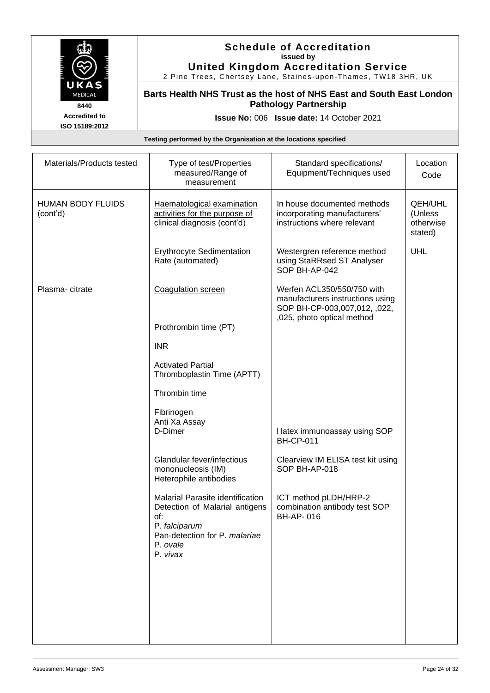

#### **Schedule of Accreditation issued by United Kingdom Accreditation Service**

2 Pine Trees, Chertsey Lane, Staines -upon -Thames, TW18 3HR, UK

**Barts Health NHS Trust as the host of NHS East and South East London Pathology Partnership**

**Issue No:** 006 **Issue date:** 14 October 2021

| Materials/Products tested            | Type of test/Properties<br>measured/Range of<br>measurement                                                                                         | Standard specifications/<br>Equipment/Techniques used                                                                        | Location<br>Code                                  |
|--------------------------------------|-----------------------------------------------------------------------------------------------------------------------------------------------------|------------------------------------------------------------------------------------------------------------------------------|---------------------------------------------------|
| <b>HUMAN BODY FLUIDS</b><br>(cont'd) | Haematological examination<br>activities for the purpose of<br>clinical diagnosis (cont'd)                                                          | In house documented methods<br>incorporating manufacturers'<br>instructions where relevant                                   | <b>QEH/UHL</b><br>(Unless<br>otherwise<br>stated) |
|                                      | Erythrocyte Sedimentation<br>Rate (automated)                                                                                                       | Westergren reference method<br>using StaRRsed ST Analyser<br>SOP BH-AP-042                                                   | <b>UHL</b>                                        |
| Plasma-citrate                       | Coagulation screen                                                                                                                                  | Werfen ACL350/550/750 with<br>manufacturers instructions using<br>SOP BH-CP-003,007,012, ,022,<br>,025, photo optical method |                                                   |
|                                      | Prothrombin time (PT)                                                                                                                               |                                                                                                                              |                                                   |
|                                      | <b>INR</b>                                                                                                                                          |                                                                                                                              |                                                   |
|                                      | <b>Activated Partial</b><br>Thromboplastin Time (APTT)                                                                                              |                                                                                                                              |                                                   |
|                                      | Thrombin time                                                                                                                                       |                                                                                                                              |                                                   |
|                                      | Fibrinogen<br>Anti Xa Assay<br>D-Dimer                                                                                                              | I latex immunoassay using SOP<br><b>BH-CP-011</b>                                                                            |                                                   |
|                                      | Glandular fever/infectious<br>mononucleosis (IM)<br>Heterophile antibodies                                                                          | Clearview IM ELISA test kit using<br>SOP BH-AP-018                                                                           |                                                   |
|                                      | Malarial Parasite identification<br>Detection of Malarial antigens<br>of:<br>P. falciparum<br>Pan-detection for P. malariae<br>P. ovale<br>P. vivax | ICT method pLDH/HRP-2<br>combination antibody test SOP<br>BH-AP-016                                                          |                                                   |
|                                      |                                                                                                                                                     |                                                                                                                              |                                                   |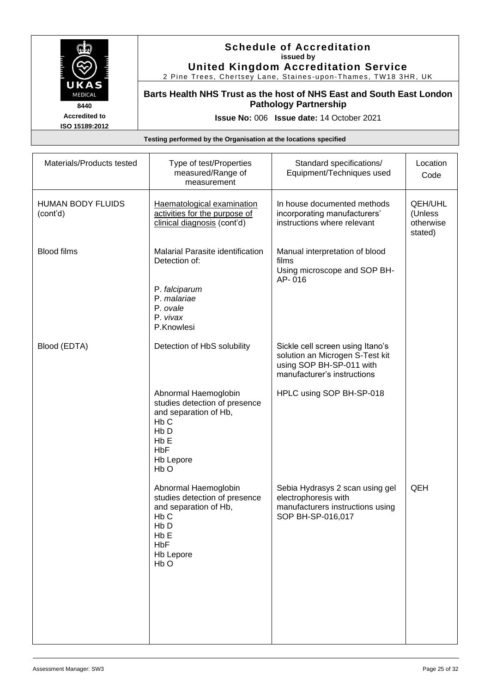

#### **Schedule of Accreditation issued by United Kingdom Accreditation Service**

2 Pine Trees, Chertsey Lane, Staines -upon -Thames, TW18 3HR, UK

**Barts Health NHS Trust as the host of NHS East and South East London Pathology Partnership**

**Issue No:** 006 **Issue date:** 14 October 2021

| Materials/Products tested            | Type of test/Properties<br>measured/Range of<br>measurement                                                                                                                               | Standard specifications/<br>Equipment/Techniques used                                                                          | Location<br>Code                                  |
|--------------------------------------|-------------------------------------------------------------------------------------------------------------------------------------------------------------------------------------------|--------------------------------------------------------------------------------------------------------------------------------|---------------------------------------------------|
| <b>HUMAN BODY FLUIDS</b><br>(cont'd) | Haematological examination<br>activities for the purpose of<br>clinical diagnosis (cont'd)                                                                                                | In house documented methods<br>incorporating manufacturers'<br>instructions where relevant                                     | <b>QEH/UHL</b><br>(Unless<br>otherwise<br>stated) |
| <b>Blood films</b>                   | Malarial Parasite identification<br>Detection of:<br>P. falciparum<br>P. malariae<br>P. ovale<br>P. vivax                                                                                 | Manual interpretation of blood<br>films<br>Using microscope and SOP BH-<br>AP-016                                              |                                                   |
|                                      | P.Knowlesi                                                                                                                                                                                |                                                                                                                                |                                                   |
| Blood (EDTA)                         | Detection of HbS solubility                                                                                                                                                               | Sickle cell screen using Itano's<br>solution an Microgen S-Test kit<br>using SOP BH-SP-011 with<br>manufacturer's instructions |                                                   |
|                                      | Abnormal Haemoglobin<br>studies detection of presence<br>and separation of Hb,<br>H <sub>b</sub> C<br>H <sub>b</sub> D<br>H <sub>b</sub> E<br><b>HbF</b><br>Hb Lepore<br>H <sub>b</sub> O | HPLC using SOP BH-SP-018                                                                                                       |                                                   |
|                                      | Abnormal Haemoglobin<br>studies detection of presence<br>and separation of Hb,<br>H <sub>b</sub> C<br>Hb <sub>D</sub><br>HbE<br><b>HbF</b><br><b>Hb Lepore</b><br>H <sub>b</sub> O        | Sebia Hydrasys 2 scan using gel<br>electrophoresis with<br>manufacturers instructions using<br>SOP BH-SP-016,017               | QEH                                               |
|                                      |                                                                                                                                                                                           |                                                                                                                                |                                                   |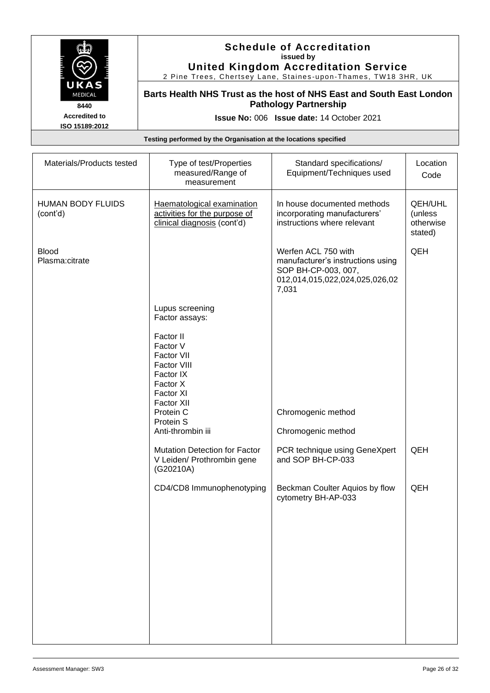

#### **Schedule of Accreditation issued by United Kingdom Accreditation Service**

2 Pine Trees, Chertsey Lane, Staines -upon -Thames, TW18 3HR, UK

**Barts Health NHS Trust as the host of NHS East and South East London Pathology Partnership**

**Issue No:** 006 **Issue date:** 14 October 2021

| Materials/Products tested            | Type of test/Properties<br>measured/Range of<br>measurement                                            | Standard specifications/<br>Equipment/Techniques used                                                                      | Location<br>Code                                  |
|--------------------------------------|--------------------------------------------------------------------------------------------------------|----------------------------------------------------------------------------------------------------------------------------|---------------------------------------------------|
| <b>HUMAN BODY FLUIDS</b><br>(cont'd) | Haematological examination<br>activities for the purpose of<br>clinical diagnosis (cont'd)             | In house documented methods<br>incorporating manufacturers'<br>instructions where relevant                                 | <b>QEH/UHL</b><br>(unless<br>otherwise<br>stated) |
| <b>Blood</b><br>Plasma:citrate       |                                                                                                        | Werfen ACL 750 with<br>manufacturer's instructions using<br>SOP BH-CP-003, 007,<br>012,014,015,022,024,025,026,02<br>7,031 | QEH                                               |
|                                      | Lupus screening<br>Factor assays:                                                                      |                                                                                                                            |                                                   |
|                                      | Factor II<br>Factor V<br>Factor VII<br>Factor VIII<br>Factor IX<br>Factor X<br>Factor XI<br>Factor XII |                                                                                                                            |                                                   |
|                                      | Protein C<br>Protein S                                                                                 | Chromogenic method                                                                                                         |                                                   |
|                                      | Anti-thrombin iii                                                                                      | Chromogenic method                                                                                                         |                                                   |
|                                      | <b>Mutation Detection for Factor</b><br>V Leiden/ Prothrombin gene<br>(G20210A)                        | PCR technique using GeneXpert<br>and SOP BH-CP-033                                                                         | QEH                                               |
|                                      | CD4/CD8 Immunophenotyping                                                                              | Beckman Coulter Aquios by flow<br>cytometry BH-AP-033                                                                      | QEH                                               |
|                                      |                                                                                                        |                                                                                                                            |                                                   |
|                                      |                                                                                                        |                                                                                                                            |                                                   |
|                                      |                                                                                                        |                                                                                                                            |                                                   |
|                                      |                                                                                                        |                                                                                                                            |                                                   |
|                                      |                                                                                                        |                                                                                                                            |                                                   |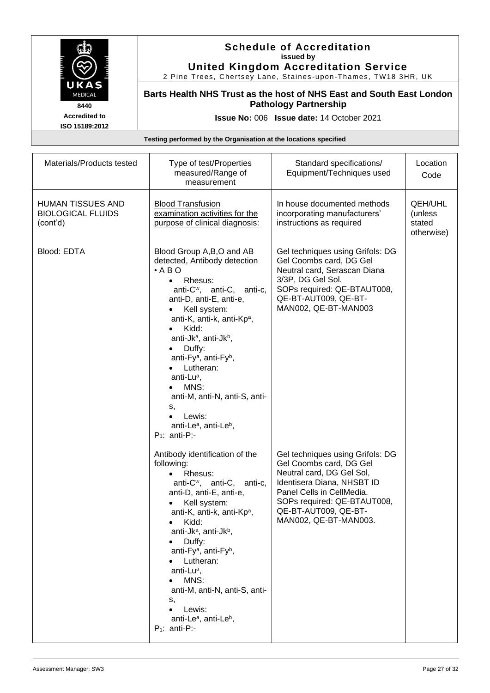

#### **Schedule of Accreditation issued by United Kingdom Accreditation Service**

2 Pine Trees, Chertsey Lane, Staines -upon -Thames, TW18 3HR, UK

**Barts Health NHS Trust as the host of NHS East and South East London Pathology Partnership**

**Issue No:** 006 **Issue date:** 14 October 2021

| Materials/Products tested                                 | Type of test/Properties<br>measured/Range of<br>measurement                                                                                                                                                                                                                                                                                                                                                                                                                                                                              | Standard specifications/<br>Equipment/Techniques used                                                                                                                                                                               | Location<br>Code                                  |
|-----------------------------------------------------------|------------------------------------------------------------------------------------------------------------------------------------------------------------------------------------------------------------------------------------------------------------------------------------------------------------------------------------------------------------------------------------------------------------------------------------------------------------------------------------------------------------------------------------------|-------------------------------------------------------------------------------------------------------------------------------------------------------------------------------------------------------------------------------------|---------------------------------------------------|
| HUMAN TISSUES AND<br><b>BIOLOGICAL FLUIDS</b><br>(cont'd) | <b>Blood Transfusion</b><br>examination activities for the<br>purpose of clinical diagnosis:                                                                                                                                                                                                                                                                                                                                                                                                                                             | In house documented methods<br>incorporating manufacturers'<br>instructions as required                                                                                                                                             | <b>QEH/UHL</b><br>(unless<br>stated<br>otherwise) |
| Blood: EDTA                                               | Blood Group A, B, O and AB<br>detected, Antibody detection<br>$\cdot$ A B O<br>Rhesus:<br>anti-C <sup>w</sup> , anti-C, anti-c,<br>anti-D, anti-E, anti-e,<br>Kell system:<br>anti-K, anti-k, anti-Kp <sup>a</sup> ,<br>Kidd:<br>anti-Jk <sup>a</sup> , anti-Jk <sup>b</sup> ,<br>Duffy:<br>$\bullet$<br>anti-Fy <sup>a</sup> , anti-Fy <sup>b</sup> ,<br>Lutheran:<br>anti-Lu <sup>a</sup> ,<br>MNS:<br>anti-M, anti-N, anti-S, anti-<br>s,<br>Lewis:<br>$\bullet$<br>anti-Le <sup>a</sup> , anti-Le <sup>b</sup> ,<br>$P_1$ : anti-P:- | Gel techniques using Grifols: DG<br>Gel Coombs card, DG Gel<br>Neutral card, Serascan Diana<br>3/3P, DG Gel Sol.<br>SOPs required: QE-BTAUT008,<br>QE-BT-AUT009, QE-BT-<br>MAN002, QE-BT-MAN003                                     |                                                   |
|                                                           | Antibody identification of the<br>following:<br>Rhesus:<br>$\bullet$<br>anti-C <sup>w</sup> , anti-C, anti-c,<br>anti-D, anti-E, anti-e,<br>Kell system:<br>anti-K, anti-k, anti-Kp <sup>a</sup> ,<br>Kidd:<br>anti-Jk <sup>a</sup> , anti-Jk <sup>b</sup> ,<br>Duffy:<br>anti-Fy <sup>a</sup> , anti-Fy <sup>b</sup> ,<br>Lutheran:<br>anti-Lu <sup>a</sup> ,<br>MNS:<br>anti-M, anti-N, anti-S, anti-<br>s,<br>Lewis:<br>$\bullet$<br>anti-Le <sup>a</sup> , anti-Le <sup>b</sup> ,<br>$P_1$ : anti-P:-                                | Gel techniques using Grifols: DG<br>Gel Coombs card, DG Gel<br>Neutral card, DG Gel Sol,<br>Identisera Diana, NHSBT ID<br>Panel Cells in CellMedia.<br>SOPs required: QE-BTAUT008,<br>QE-BT-AUT009, QE-BT-<br>MAN002, QE-BT-MAN003. |                                                   |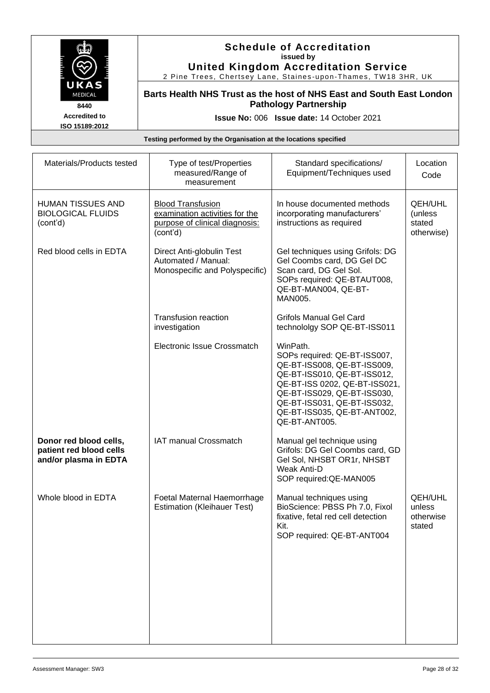

#### **Schedule of Accreditation issued by United Kingdom Accreditation Service**

2 Pine Trees, Chertsey Lane, Staines -upon -Thames, TW18 3HR, UK

**Barts Health NHS Trust as the host of NHS East and South East London Pathology Partnership**

**Issue No:** 006 **Issue date:** 14 October 2021

| Materials/Products tested                                                  | Type of test/Properties<br>measured/Range of<br>measurement                                              | Standard specifications/<br>Equipment/Techniques used                                                                                                                                                                                                 | Location<br>Code                                |
|----------------------------------------------------------------------------|----------------------------------------------------------------------------------------------------------|-------------------------------------------------------------------------------------------------------------------------------------------------------------------------------------------------------------------------------------------------------|-------------------------------------------------|
| <b>HUMAN TISSUES AND</b><br><b>BIOLOGICAL FLUIDS</b><br>(cont'd)           | <b>Blood Transfusion</b><br>examination activities for the<br>purpose of clinical diagnosis:<br>(cont'd) | In house documented methods<br>incorporating manufacturers'<br>instructions as required                                                                                                                                                               | QEH/UHL<br>(unless<br>stated<br>otherwise)      |
| Red blood cells in EDTA                                                    | Direct Anti-globulin Test<br>Automated / Manual:<br>Monospecific and Polyspecific)                       | Gel techniques using Grifols: DG<br>Gel Coombs card, DG Gel DC<br>Scan card, DG Gel Sol.<br>SOPs required: QE-BTAUT008,<br>QE-BT-MAN004, QE-BT-<br>MAN005.                                                                                            |                                                 |
|                                                                            | Transfusion reaction<br>investigation                                                                    | <b>Grifols Manual Gel Card</b><br>technololgy SOP QE-BT-ISS011                                                                                                                                                                                        |                                                 |
|                                                                            | Electronic Issue Crossmatch                                                                              | WinPath.<br>SOPs required: QE-BT-ISS007,<br>QE-BT-ISS008, QE-BT-ISS009,<br>QE-BT-ISS010, QE-BT-ISS012,<br>QE-BT-ISS 0202, QE-BT-ISS021,<br>QE-BT-ISS029, QE-BT-ISS030,<br>QE-BT-ISS031, QE-BT-ISS032,<br>QE-BT-ISS035, QE-BT-ANT002,<br>QE-BT-ANT005. |                                                 |
| Donor red blood cells,<br>patient red blood cells<br>and/or plasma in EDTA | IAT manual Crossmatch                                                                                    | Manual gel technique using<br>Grifols: DG Gel Coombs card, GD<br>Gel Sol, NHSBT OR1r, NHSBT<br><b>Weak Anti-D</b><br>SOP required: QE-MAN005                                                                                                          |                                                 |
| Whole blood in EDTA                                                        | Foetal Maternal Haemorrhage<br><b>Estimation (Kleihauer Test)</b>                                        | Manual techniques using<br>BioScience: PBSS Ph 7.0, Fixol<br>fixative, fetal red cell detection<br>Kit.<br>SOP required: QE-BT-ANT004                                                                                                                 | <b>QEH/UHL</b><br>unless<br>otherwise<br>stated |
|                                                                            |                                                                                                          |                                                                                                                                                                                                                                                       |                                                 |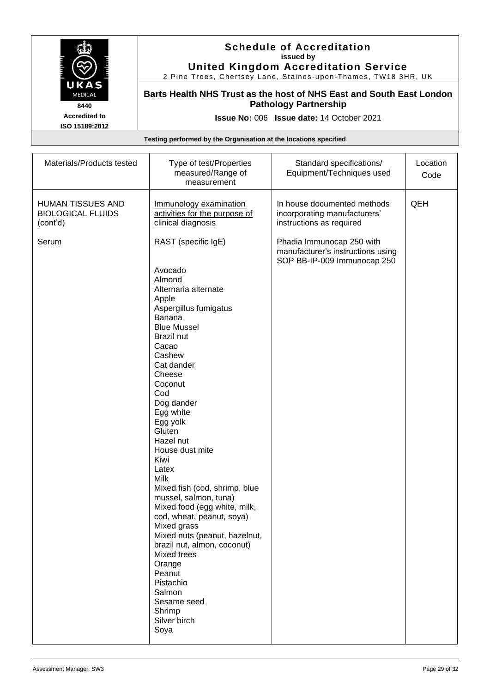

#### **Schedule of Accreditation issued by United Kingdom Accreditation Service**

2 Pine Trees, Chertsey Lane, Staines -upon -Thames, TW18 3HR, UK

**Barts Health NHS Trust as the host of NHS East and South East London Pathology Partnership**

**Issue No:** 006 **Issue date:** 14 October 2021

| Materials/Products tested                                        | Type of test/Properties<br>measured/Range of<br>measurement                                                                                                                                                                                                                                                                                                                                                                                                                                                                                                                                                                                     | Standard specifications/<br>Equipment/Techniques used                                         | Location<br>Code |
|------------------------------------------------------------------|-------------------------------------------------------------------------------------------------------------------------------------------------------------------------------------------------------------------------------------------------------------------------------------------------------------------------------------------------------------------------------------------------------------------------------------------------------------------------------------------------------------------------------------------------------------------------------------------------------------------------------------------------|-----------------------------------------------------------------------------------------------|------------------|
| <b>HUMAN TISSUES AND</b><br><b>BIOLOGICAL FLUIDS</b><br>(cont'd) | Immunology examination<br>activities for the purpose of<br>clinical diagnosis                                                                                                                                                                                                                                                                                                                                                                                                                                                                                                                                                                   | In house documented methods<br>incorporating manufacturers'<br>instructions as required       | QEH              |
| Serum                                                            | RAST (specific IgE)<br>Avocado<br>Almond<br>Alternaria alternate<br>Apple<br>Aspergillus fumigatus<br>Banana<br><b>Blue Mussel</b><br><b>Brazil nut</b><br>Cacao<br>Cashew<br>Cat dander<br>Cheese<br>Coconut<br>Cod<br>Dog dander<br>Egg white<br>Egg yolk<br>Gluten<br>Hazel nut<br>House dust mite<br>Kiwi<br>Latex<br>Milk<br>Mixed fish (cod, shrimp, blue<br>mussel, salmon, tuna)<br>Mixed food (egg white, milk,<br>cod, wheat, peanut, soya)<br>Mixed grass<br>Mixed nuts (peanut, hazelnut,<br>brazil nut, almon, coconut)<br>Mixed trees<br>Orange<br>Peanut<br>Pistachio<br>Salmon<br>Sesame seed<br>Shrimp<br>Silver birch<br>Soya | Phadia Immunocap 250 with<br>manufacturer's instructions using<br>SOP BB-IP-009 Immunocap 250 |                  |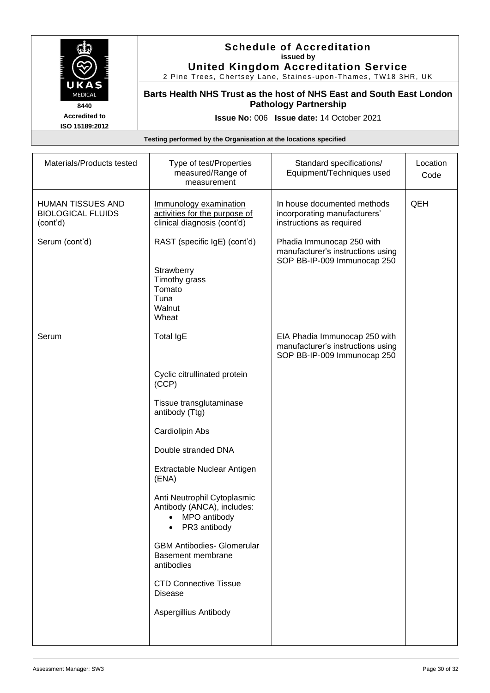

#### **Schedule of Accreditation issued by United Kingdom Accreditation Service**

2 Pine Trees, Chertsey Lane, Staines -upon -Thames, TW18 3HR, UK

**Barts Health NHS Trust as the host of NHS East and South East London Pathology Partnership**

**Issue No:** 006 **Issue date:** 14 October 2021

| Materials/Products tested                                        | Type of test/Properties<br>measured/Range of<br>measurement                                            | Standard specifications/<br>Equipment/Techniques used                                             | Location<br>Code |
|------------------------------------------------------------------|--------------------------------------------------------------------------------------------------------|---------------------------------------------------------------------------------------------------|------------------|
| <b>HUMAN TISSUES AND</b><br><b>BIOLOGICAL FLUIDS</b><br>(cont'd) | Immunology examination<br>activities for the purpose of<br>clinical diagnosis (cont'd)                 | In house documented methods<br>incorporating manufacturers'<br>instructions as required           | QEH              |
| Serum (cont'd)                                                   | RAST (specific IgE) (cont'd)<br>Strawberry<br>Timothy grass<br>Tomato<br>Tuna<br>Walnut<br>Wheat       | Phadia Immunocap 250 with<br>manufacturer's instructions using<br>SOP BB-IP-009 Immunocap 250     |                  |
| Serum                                                            | Total IgE                                                                                              | EIA Phadia Immunocap 250 with<br>manufacturer's instructions using<br>SOP BB-IP-009 Immunocap 250 |                  |
|                                                                  | Cyclic citrullinated protein<br>(CCP)                                                                  |                                                                                                   |                  |
|                                                                  | Tissue transglutaminase<br>antibody (Ttg)                                                              |                                                                                                   |                  |
|                                                                  | Cardiolipin Abs                                                                                        |                                                                                                   |                  |
|                                                                  | Double stranded DNA                                                                                    |                                                                                                   |                  |
|                                                                  | Extractable Nuclear Antigen<br>(ENA)                                                                   |                                                                                                   |                  |
|                                                                  | Anti Neutrophil Cytoplasmic<br>Antibody (ANCA), includes:<br>MPO antibody<br>$\bullet$<br>PR3 antibody |                                                                                                   |                  |
|                                                                  | <b>GBM Antibodies- Glomerular</b><br>Basement membrane<br>antibodies                                   |                                                                                                   |                  |
|                                                                  | <b>CTD Connective Tissue</b><br><b>Disease</b>                                                         |                                                                                                   |                  |
|                                                                  | Aspergillius Antibody                                                                                  |                                                                                                   |                  |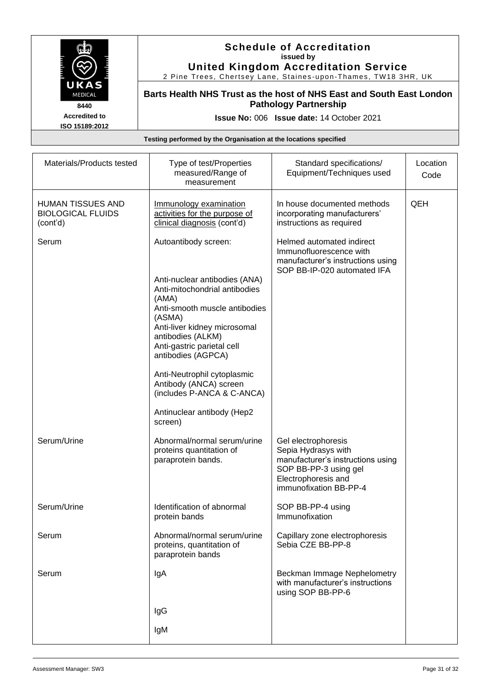

#### **Schedule of Accreditation issued by United Kingdom Accreditation Service**

2 Pine Trees, Chertsey Lane, Staines -upon -Thames, TW18 3HR, UK

**Barts Health NHS Trust as the host of NHS East and South East London Pathology Partnership**

**Issue No:** 006 **Issue date:** 14 October 2021

| Materials/Products tested                                        | Type of test/Properties<br>measured/Range of<br>measurement                                                                                                                                | Standard specifications/<br>Equipment/Techniques used                                                                                                     | Location<br>Code |
|------------------------------------------------------------------|--------------------------------------------------------------------------------------------------------------------------------------------------------------------------------------------|-----------------------------------------------------------------------------------------------------------------------------------------------------------|------------------|
| <b>HUMAN TISSUES AND</b><br><b>BIOLOGICAL FLUIDS</b><br>(cont'd) | Immunology examination<br>activities for the purpose of<br>clinical diagnosis (cont'd)                                                                                                     | In house documented methods<br>incorporating manufacturers'<br>instructions as required                                                                   | QEH              |
| Serum                                                            | Autoantibody screen:<br>Anti-nuclear antibodies (ANA)                                                                                                                                      | Helmed automated indirect<br>Immunofluorescence with<br>manufacturer's instructions using<br>SOP BB-IP-020 automated IFA                                  |                  |
|                                                                  | Anti-mitochondrial antibodies<br>(AMA)<br>Anti-smooth muscle antibodies<br>(ASMA)<br>Anti-liver kidney microsomal<br>antibodies (ALKM)<br>Anti-gastric parietal cell<br>antibodies (AGPCA) |                                                                                                                                                           |                  |
|                                                                  | Anti-Neutrophil cytoplasmic<br>Antibody (ANCA) screen<br>(includes P-ANCA & C-ANCA)                                                                                                        |                                                                                                                                                           |                  |
|                                                                  | Antinuclear antibody (Hep2<br>screen)                                                                                                                                                      |                                                                                                                                                           |                  |
| Serum/Urine                                                      | Abnormal/normal serum/urine<br>proteins quantitation of<br>paraprotein bands.                                                                                                              | Gel electrophoresis<br>Sepia Hydrasys with<br>manufacturer's instructions using<br>SOP BB-PP-3 using gel<br>Electrophoresis and<br>immunofixation BB-PP-4 |                  |
| Serum/Urine                                                      | Identification of abnormal<br>protein bands                                                                                                                                                | SOP BB-PP-4 using<br>Immunofixation                                                                                                                       |                  |
| Serum                                                            | Abnormal/normal serum/urine<br>proteins, quantitation of<br>paraprotein bands                                                                                                              | Capillary zone electrophoresis<br>Sebia CZE BB-PP-8                                                                                                       |                  |
| Serum                                                            | IgA                                                                                                                                                                                        | Beckman Immage Nephelometry<br>with manufacturer's instructions<br>using SOP BB-PP-6                                                                      |                  |
|                                                                  | IgG                                                                                                                                                                                        |                                                                                                                                                           |                  |
|                                                                  | IgM                                                                                                                                                                                        |                                                                                                                                                           |                  |